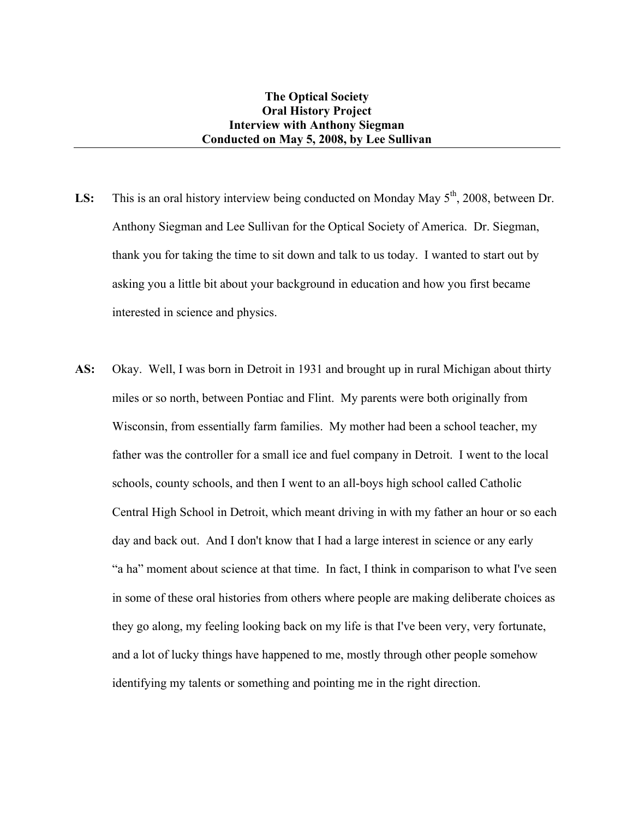- LS: This is an oral history interview being conducted on Monday May 5<sup>th</sup>, 2008, between Dr. Anthony Siegman and Lee Sullivan for the Optical Society of America. Dr. Siegman, thank you for taking the time to sit down and talk to us today. I wanted to start out by asking you a little bit about your background in education and how you first became interested in science and physics.
- **AS:** Okay. Well, I was born in Detroit in 1931 and brought up in rural Michigan about thirty miles or so north, between Pontiac and Flint. My parents were both originally from Wisconsin, from essentially farm families. My mother had been a school teacher, my father was the controller for a small ice and fuel company in Detroit. I went to the local schools, county schools, and then I went to an all-boys high school called Catholic Central High School in Detroit, which meant driving in with my father an hour or so each day and back out. And I don't know that I had a large interest in science or any early "a ha" moment about science at that time. In fact, I think in comparison to what I've seen in some of these oral histories from others where people are making deliberate choices as they go along, my feeling looking back on my life is that I've been very, very fortunate, and a lot of lucky things have happened to me, mostly through other people somehow identifying my talents or something and pointing me in the right direction.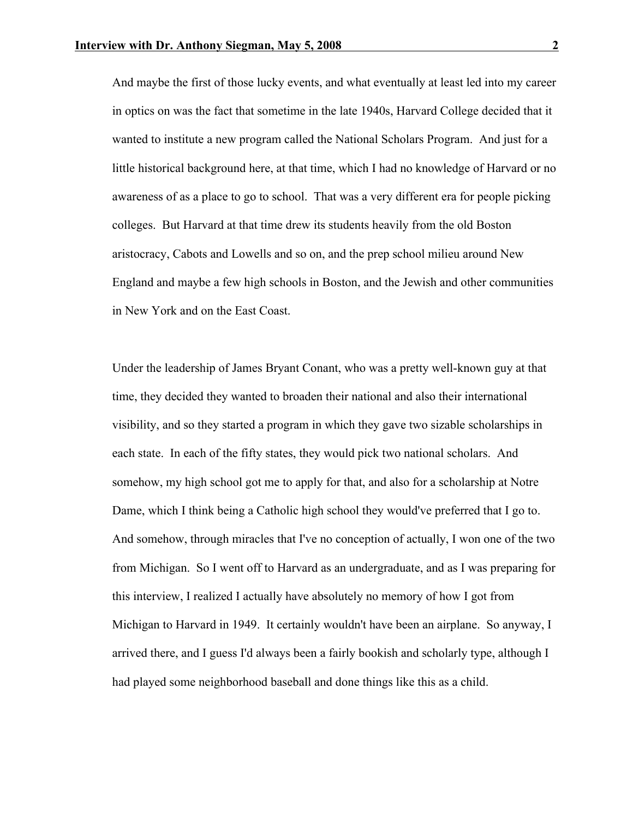And maybe the first of those lucky events, and what eventually at least led into my career in optics on was the fact that sometime in the late 1940s, Harvard College decided that it wanted to institute a new program called the National Scholars Program. And just for a little historical background here, at that time, which I had no knowledge of Harvard or no awareness of as a place to go to school. That was a very different era for people picking colleges. But Harvard at that time drew its students heavily from the old Boston aristocracy, Cabots and Lowells and so on, and the prep school milieu around New England and maybe a few high schools in Boston, and the Jewish and other communities in New York and on the East Coast.

Under the leadership of James Bryant Conant, who was a pretty well-known guy at that time, they decided they wanted to broaden their national and also their international visibility, and so they started a program in which they gave two sizable scholarships in each state. In each of the fifty states, they would pick two national scholars. And somehow, my high school got me to apply for that, and also for a scholarship at Notre Dame, which I think being a Catholic high school they would've preferred that I go to. And somehow, through miracles that I've no conception of actually, I won one of the two from Michigan. So I went off to Harvard as an undergraduate, and as I was preparing for this interview, I realized I actually have absolutely no memory of how I got from Michigan to Harvard in 1949. It certainly wouldn't have been an airplane. So anyway, I arrived there, and I guess I'd always been a fairly bookish and scholarly type, although I had played some neighborhood baseball and done things like this as a child.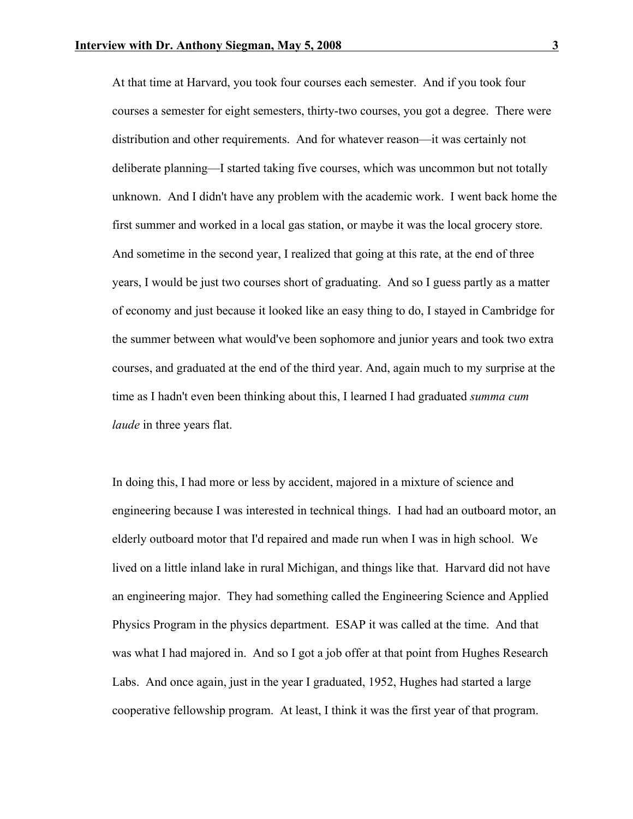At that time at Harvard, you took four courses each semester. And if you took four courses a semester for eight semesters, thirty-two courses, you got a degree. There were distribution and other requirements. And for whatever reason—it was certainly not deliberate planning—I started taking five courses, which was uncommon but not totally unknown. And I didn't have any problem with the academic work. I went back home the first summer and worked in a local gas station, or maybe it was the local grocery store. And sometime in the second year, I realized that going at this rate, at the end of three years, I would be just two courses short of graduating. And so I guess partly as a matter of economy and just because it looked like an easy thing to do, I stayed in Cambridge for the summer between what would've been sophomore and junior years and took two extra courses, and graduated at the end of the third year. And, again much to my surprise at the time as I hadn't even been thinking about this, I learned I had graduated *summa cum laude* in three years flat.

In doing this, I had more or less by accident, majored in a mixture of science and engineering because I was interested in technical things. I had had an outboard motor, an elderly outboard motor that I'd repaired and made run when I was in high school. We lived on a little inland lake in rural Michigan, and things like that. Harvard did not have an engineering major. They had something called the Engineering Science and Applied Physics Program in the physics department. ESAP it was called at the time. And that was what I had majored in. And so I got a job offer at that point from Hughes Research Labs. And once again, just in the year I graduated, 1952, Hughes had started a large cooperative fellowship program. At least, I think it was the first year of that program.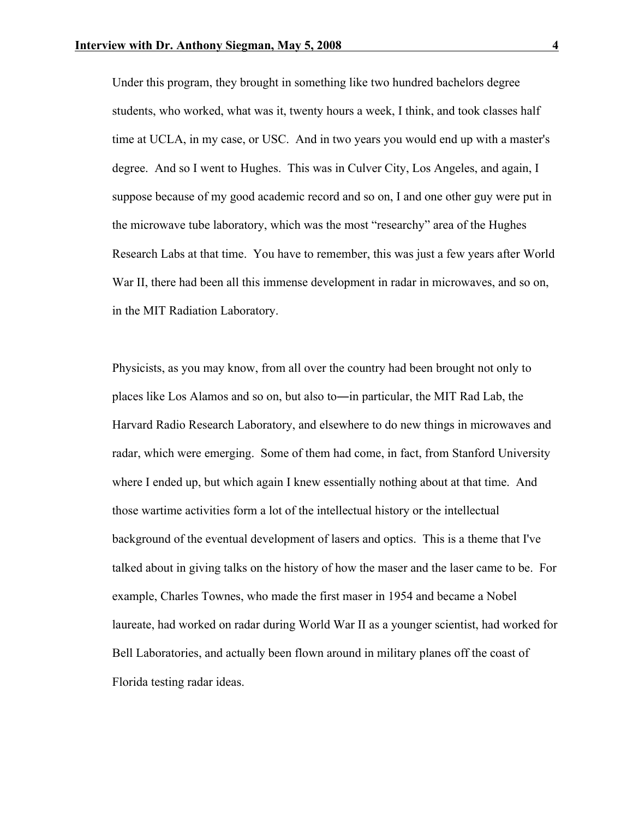Under this program, they brought in something like two hundred bachelors degree students, who worked, what was it, twenty hours a week, I think, and took classes half time at UCLA, in my case, or USC. And in two years you would end up with a master's degree. And so I went to Hughes. This was in Culver City, Los Angeles, and again, I suppose because of my good academic record and so on, I and one other guy were put in the microwave tube laboratory, which was the most "researchy" area of the Hughes Research Labs at that time. You have to remember, this was just a few years after World War II, there had been all this immense development in radar in microwaves, and so on, in the MIT Radiation Laboratory.

Physicists, as you may know, from all over the country had been brought not only to places like Los Alamos and so on, but also to―in particular, the MIT Rad Lab, the Harvard Radio Research Laboratory, and elsewhere to do new things in microwaves and radar, which were emerging. Some of them had come, in fact, from Stanford University where I ended up, but which again I knew essentially nothing about at that time. And those wartime activities form a lot of the intellectual history or the intellectual background of the eventual development of lasers and optics. This is a theme that I've talked about in giving talks on the history of how the maser and the laser came to be. For example, Charles Townes, who made the first maser in 1954 and became a Nobel laureate, had worked on radar during World War II as a younger scientist, had worked for Bell Laboratories, and actually been flown around in military planes off the coast of Florida testing radar ideas.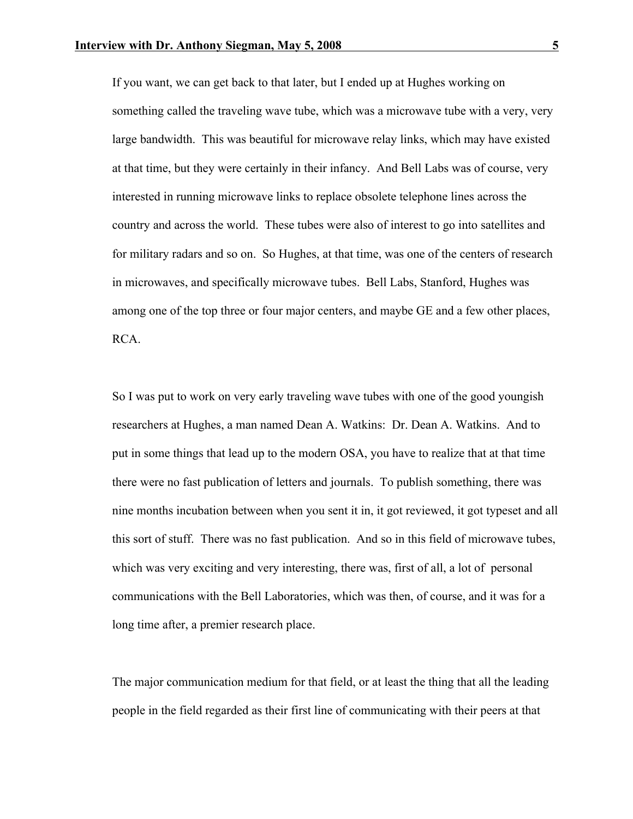If you want, we can get back to that later, but I ended up at Hughes working on something called the traveling wave tube, which was a microwave tube with a very, very large bandwidth. This was beautiful for microwave relay links, which may have existed at that time, but they were certainly in their infancy. And Bell Labs was of course, very interested in running microwave links to replace obsolete telephone lines across the country and across the world. These tubes were also of interest to go into satellites and for military radars and so on. So Hughes, at that time, was one of the centers of research in microwaves, and specifically microwave tubes. Bell Labs, Stanford, Hughes was among one of the top three or four major centers, and maybe GE and a few other places, RCA.

So I was put to work on very early traveling wave tubes with one of the good youngish researchers at Hughes, a man named Dean A. Watkins: Dr. Dean A. Watkins. And to put in some things that lead up to the modern OSA, you have to realize that at that time there were no fast publication of letters and journals. To publish something, there was nine months incubation between when you sent it in, it got reviewed, it got typeset and all this sort of stuff. There was no fast publication. And so in this field of microwave tubes, which was very exciting and very interesting, there was, first of all, a lot of personal communications with the Bell Laboratories, which was then, of course, and it was for a long time after, a premier research place.

The major communication medium for that field, or at least the thing that all the leading people in the field regarded as their first line of communicating with their peers at that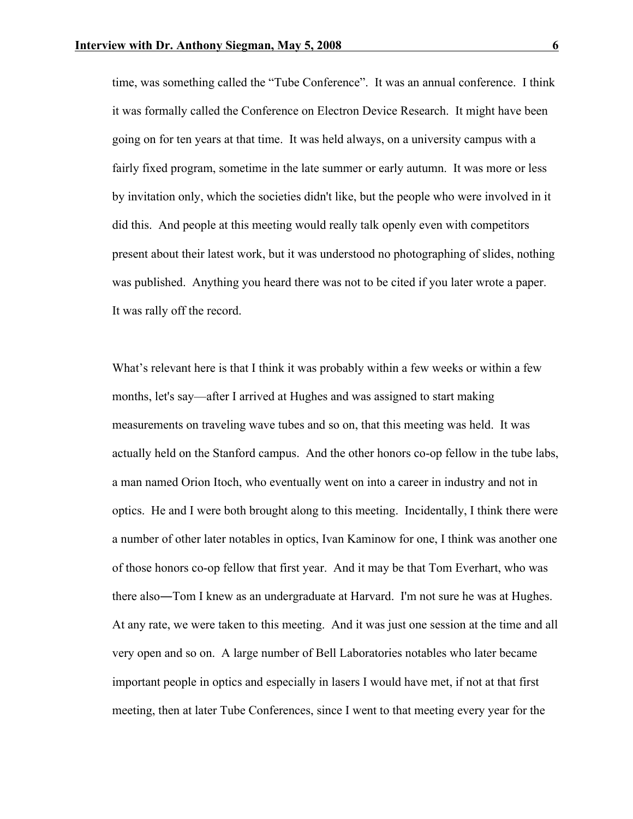time, was something called the "Tube Conference". It was an annual conference. I think it was formally called the Conference on Electron Device Research. It might have been going on for ten years at that time. It was held always, on a university campus with a fairly fixed program, sometime in the late summer or early autumn. It was more or less by invitation only, which the societies didn't like, but the people who were involved in it did this. And people at this meeting would really talk openly even with competitors present about their latest work, but it was understood no photographing of slides, nothing was published. Anything you heard there was not to be cited if you later wrote a paper. It was rally off the record.

What's relevant here is that I think it was probably within a few weeks or within a few months, let's say—after I arrived at Hughes and was assigned to start making measurements on traveling wave tubes and so on, that this meeting was held. It was actually held on the Stanford campus. And the other honors co-op fellow in the tube labs, a man named Orion Itoch, who eventually went on into a career in industry and not in optics. He and I were both brought along to this meeting. Incidentally, I think there were a number of other later notables in optics, Ivan Kaminow for one, I think was another one of those honors co-op fellow that first year. And it may be that Tom Everhart, who was there also―Tom I knew as an undergraduate at Harvard. I'm not sure he was at Hughes. At any rate, we were taken to this meeting. And it was just one session at the time and all very open and so on. A large number of Bell Laboratories notables who later became important people in optics and especially in lasers I would have met, if not at that first meeting, then at later Tube Conferences, since I went to that meeting every year for the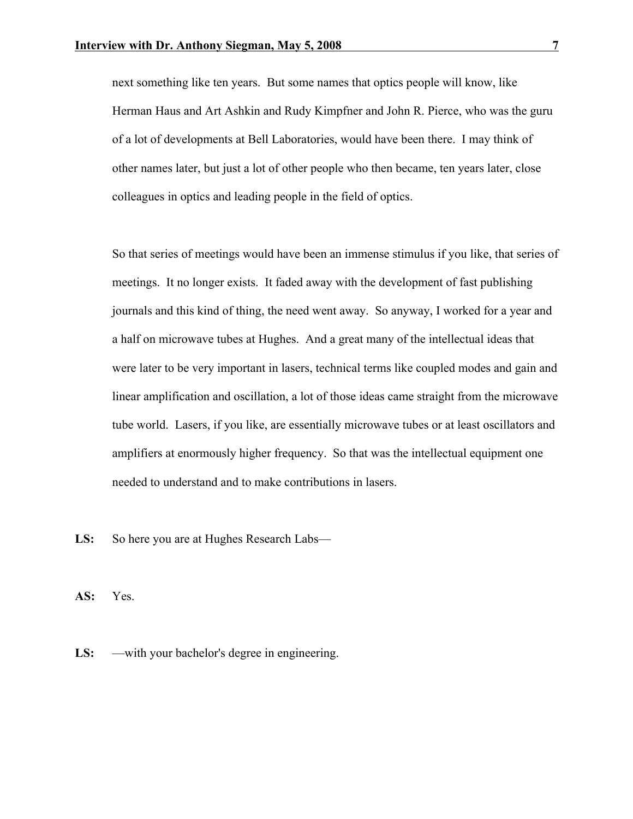next something like ten years. But some names that optics people will know, like Herman Haus and Art Ashkin and Rudy Kimpfner and John R. Pierce, who was the guru of a lot of developments at Bell Laboratories, would have been there. I may think of other names later, but just a lot of other people who then became, ten years later, close colleagues in optics and leading people in the field of optics.

So that series of meetings would have been an immense stimulus if you like, that series of meetings. It no longer exists. It faded away with the development of fast publishing journals and this kind of thing, the need went away. So anyway, I worked for a year and a half on microwave tubes at Hughes. And a great many of the intellectual ideas that were later to be very important in lasers, technical terms like coupled modes and gain and linear amplification and oscillation, a lot of those ideas came straight from the microwave tube world. Lasers, if you like, are essentially microwave tubes or at least oscillators and amplifiers at enormously higher frequency. So that was the intellectual equipment one needed to understand and to make contributions in lasers.

LS: So here you are at Hughes Research Labs—

**AS:** Yes.

**LS:** —with your bachelor's degree in engineering.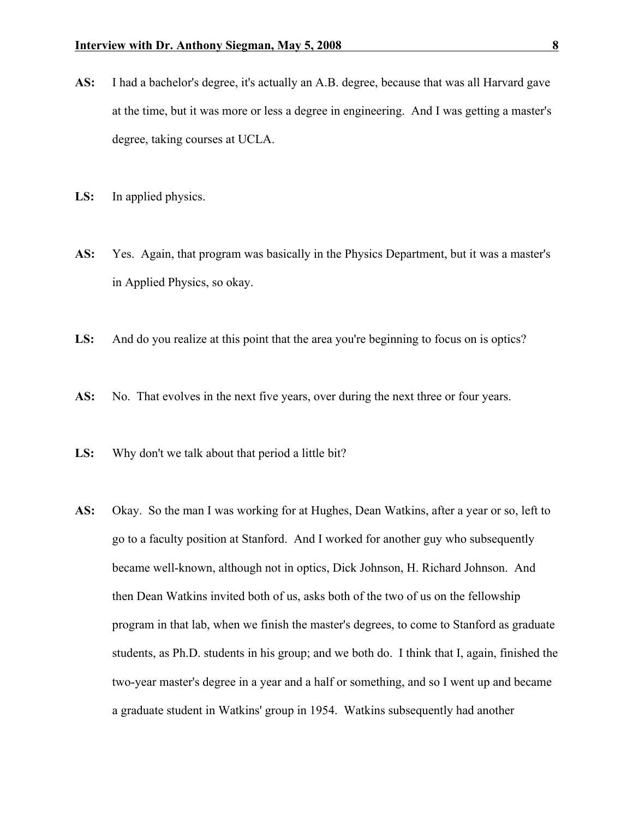- **AS:** I had a bachelor's degree, it's actually an A.B. degree, because that was all Harvard gave at the time, but it was more or less a degree in engineering. And I was getting a master's degree, taking courses at UCLA.
- **LS:** In applied physics.
- **AS:** Yes. Again, that program was basically in the Physics Department, but it was a master's in Applied Physics, so okay.
- **LS:** And do you realize at this point that the area you're beginning to focus on is optics?
- AS: No. That evolves in the next five years, over during the next three or four years.
- **LS:** Why don't we talk about that period a little bit?
- **AS:** Okay. So the man I was working for at Hughes, Dean Watkins, after a year or so, left to go to a faculty position at Stanford. And I worked for another guy who subsequently became well-known, although not in optics, Dick Johnson, H. Richard Johnson. And then Dean Watkins invited both of us, asks both of the two of us on the fellowship program in that lab, when we finish the master's degrees, to come to Stanford as graduate students, as Ph.D. students in his group; and we both do. I think that I, again, finished the two-year master's degree in a year and a half or something, and so I went up and became a graduate student in Watkins' group in 1954. Watkins subsequently had another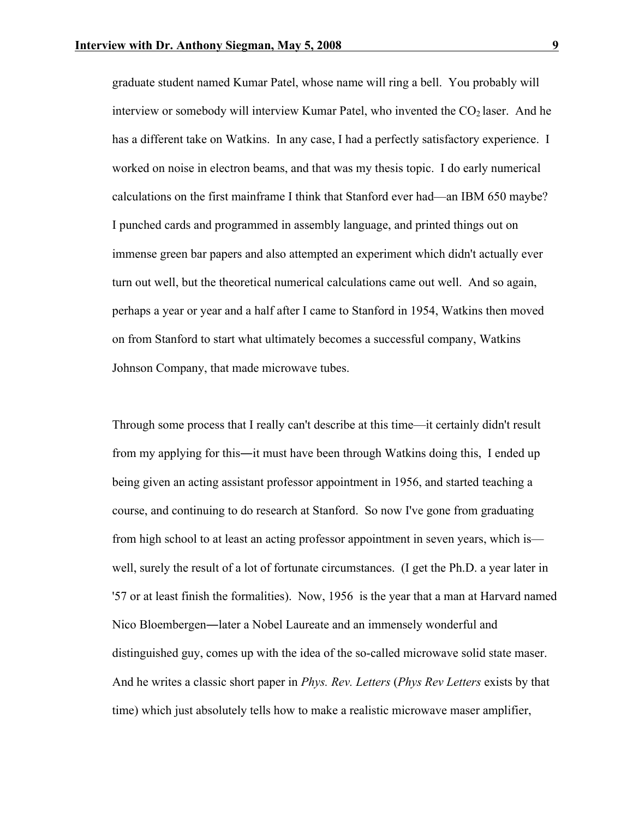graduate student named Kumar Patel, whose name will ring a bell. You probably will interview or somebody will interview Kumar Patel, who invented the  $CO<sub>2</sub>$  laser. And he has a different take on Watkins. In any case, I had a perfectly satisfactory experience. I worked on noise in electron beams, and that was my thesis topic. I do early numerical calculations on the first mainframe I think that Stanford ever had—an IBM 650 maybe? I punched cards and programmed in assembly language, and printed things out on immense green bar papers and also attempted an experiment which didn't actually ever turn out well, but the theoretical numerical calculations came out well. And so again, perhaps a year or year and a half after I came to Stanford in 1954, Watkins then moved on from Stanford to start what ultimately becomes a successful company, Watkins Johnson Company, that made microwave tubes.

Through some process that I really can't describe at this time—it certainly didn't result from my applying for this—it must have been through Watkins doing this, I ended up being given an acting assistant professor appointment in 1956, and started teaching a course, and continuing to do research at Stanford. So now I've gone from graduating from high school to at least an acting professor appointment in seven years, which is well, surely the result of a lot of fortunate circumstances. (I get the Ph.D. a year later in '57 or at least finish the formalities). Now, 1956 is the year that a man at Harvard named Nico Bloembergen―later a Nobel Laureate and an immensely wonderful and distinguished guy, comes up with the idea of the so-called microwave solid state maser. And he writes a classic short paper in *Phys. Rev. Letters* (*Phys Rev Letters* exists by that time) which just absolutely tells how to make a realistic microwave maser amplifier,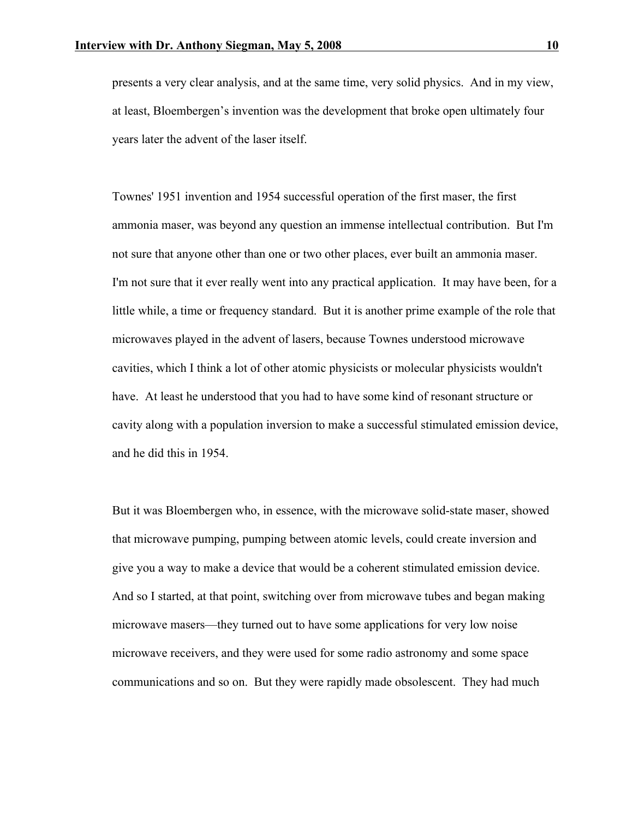presents a very clear analysis, and at the same time, very solid physics. And in my view, at least, Bloembergen's invention was the development that broke open ultimately four years later the advent of the laser itself.

Townes' 1951 invention and 1954 successful operation of the first maser, the first ammonia maser, was beyond any question an immense intellectual contribution. But I'm not sure that anyone other than one or two other places, ever built an ammonia maser. I'm not sure that it ever really went into any practical application. It may have been, for a little while, a time or frequency standard. But it is another prime example of the role that microwaves played in the advent of lasers, because Townes understood microwave cavities, which I think a lot of other atomic physicists or molecular physicists wouldn't have. At least he understood that you had to have some kind of resonant structure or cavity along with a population inversion to make a successful stimulated emission device, and he did this in 1954.

But it was Bloembergen who, in essence, with the microwave solid-state maser, showed that microwave pumping, pumping between atomic levels, could create inversion and give you a way to make a device that would be a coherent stimulated emission device. And so I started, at that point, switching over from microwave tubes and began making microwave masers—they turned out to have some applications for very low noise microwave receivers, and they were used for some radio astronomy and some space communications and so on. But they were rapidly made obsolescent. They had much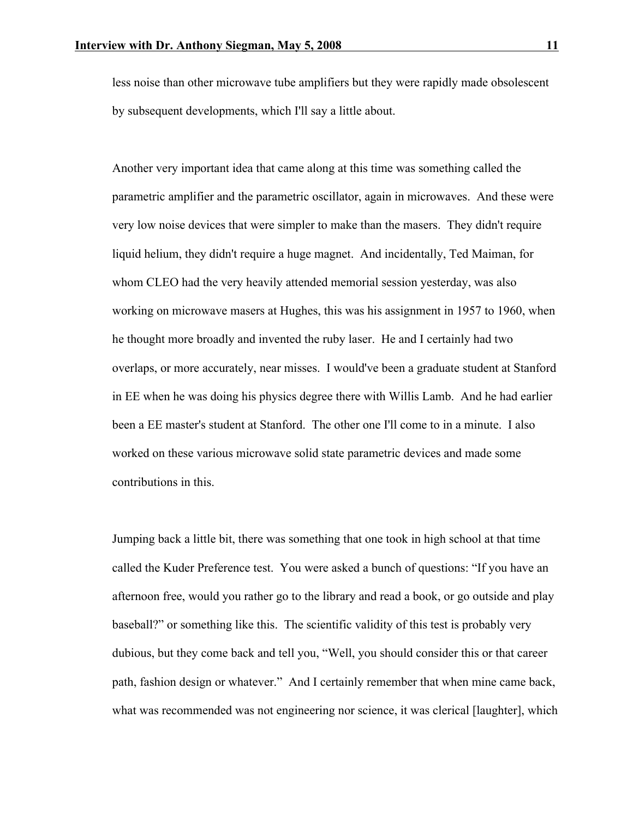less noise than other microwave tube amplifiers but they were rapidly made obsolescent by subsequent developments, which I'll say a little about.

Another very important idea that came along at this time was something called the parametric amplifier and the parametric oscillator, again in microwaves. And these were very low noise devices that were simpler to make than the masers. They didn't require liquid helium, they didn't require a huge magnet. And incidentally, Ted Maiman, for whom CLEO had the very heavily attended memorial session yesterday, was also working on microwave masers at Hughes, this was his assignment in 1957 to 1960, when he thought more broadly and invented the ruby laser. He and I certainly had two overlaps, or more accurately, near misses. I would've been a graduate student at Stanford in EE when he was doing his physics degree there with Willis Lamb. And he had earlier been a EE master's student at Stanford. The other one I'll come to in a minute. I also worked on these various microwave solid state parametric devices and made some contributions in this.

Jumping back a little bit, there was something that one took in high school at that time called the Kuder Preference test. You were asked a bunch of questions: "If you have an afternoon free, would you rather go to the library and read a book, or go outside and play baseball?" or something like this. The scientific validity of this test is probably very dubious, but they come back and tell you, "Well, you should consider this or that career path, fashion design or whatever." And I certainly remember that when mine came back, what was recommended was not engineering nor science, it was clerical [laughter], which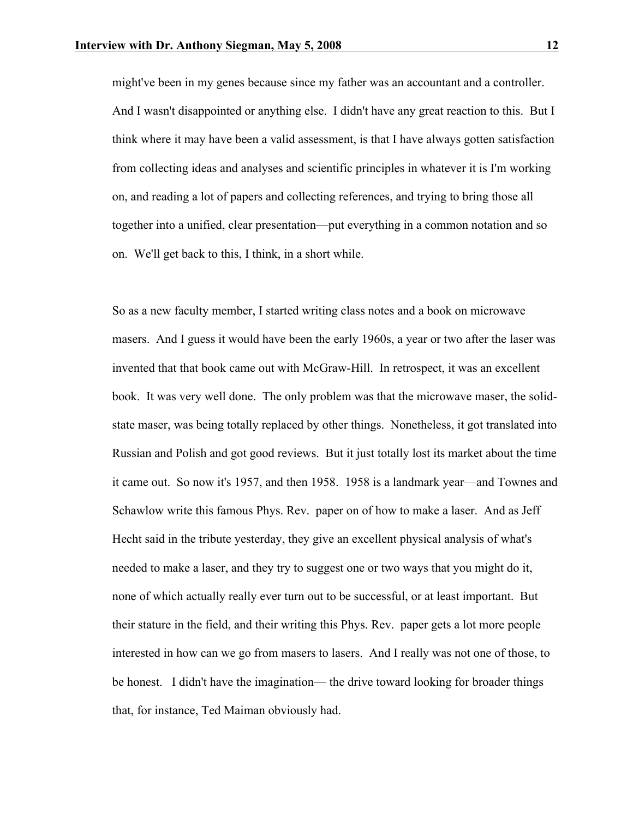might've been in my genes because since my father was an accountant and a controller. And I wasn't disappointed or anything else. I didn't have any great reaction to this. But I think where it may have been a valid assessment, is that I have always gotten satisfaction from collecting ideas and analyses and scientific principles in whatever it is I'm working on, and reading a lot of papers and collecting references, and trying to bring those all together into a unified, clear presentation—put everything in a common notation and so on. We'll get back to this, I think, in a short while.

So as a new faculty member, I started writing class notes and a book on microwave masers. And I guess it would have been the early 1960s, a year or two after the laser was invented that that book came out with McGraw-Hill. In retrospect, it was an excellent book. It was very well done. The only problem was that the microwave maser, the solidstate maser, was being totally replaced by other things. Nonetheless, it got translated into Russian and Polish and got good reviews. But it just totally lost its market about the time it came out. So now it's 1957, and then 1958. 1958 is a landmark year—and Townes and Schawlow write this famous Phys. Rev. paper on of how to make a laser. And as Jeff Hecht said in the tribute yesterday, they give an excellent physical analysis of what's needed to make a laser, and they try to suggest one or two ways that you might do it, none of which actually really ever turn out to be successful, or at least important. But their stature in the field, and their writing this Phys. Rev. paper gets a lot more people interested in how can we go from masers to lasers. And I really was not one of those, to be honest. I didn't have the imagination— the drive toward looking for broader things that, for instance, Ted Maiman obviously had.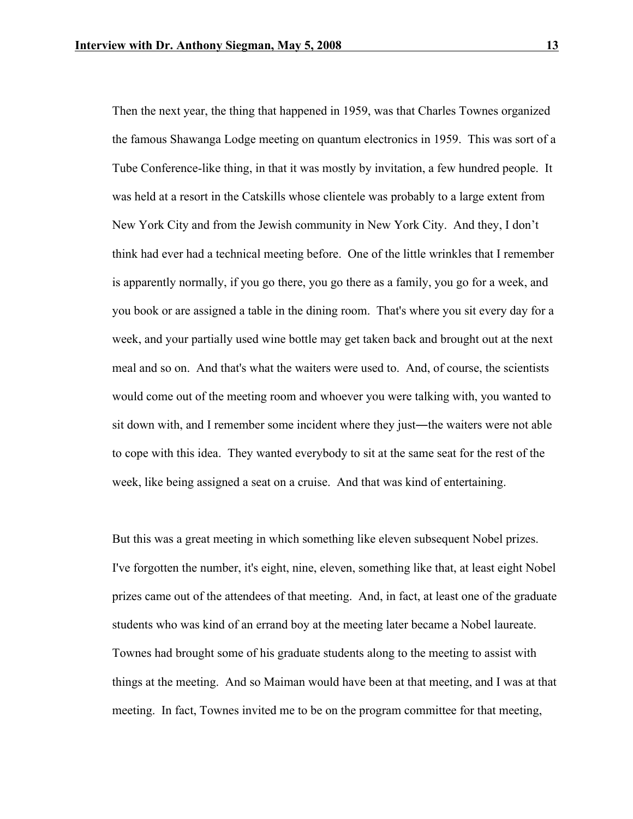Then the next year, the thing that happened in 1959, was that Charles Townes organized the famous Shawanga Lodge meeting on quantum electronics in 1959. This was sort of a Tube Conference-like thing, in that it was mostly by invitation, a few hundred people. It was held at a resort in the Catskills whose clientele was probably to a large extent from New York City and from the Jewish community in New York City. And they, I don't think had ever had a technical meeting before. One of the little wrinkles that I remember is apparently normally, if you go there, you go there as a family, you go for a week, and you book or are assigned a table in the dining room. That's where you sit every day for a week, and your partially used wine bottle may get taken back and brought out at the next meal and so on. And that's what the waiters were used to. And, of course, the scientists would come out of the meeting room and whoever you were talking with, you wanted to sit down with, and I remember some incident where they just—the waiters were not able to cope with this idea. They wanted everybody to sit at the same seat for the rest of the week, like being assigned a seat on a cruise. And that was kind of entertaining.

But this was a great meeting in which something like eleven subsequent Nobel prizes. I've forgotten the number, it's eight, nine, eleven, something like that, at least eight Nobel prizes came out of the attendees of that meeting. And, in fact, at least one of the graduate students who was kind of an errand boy at the meeting later became a Nobel laureate. Townes had brought some of his graduate students along to the meeting to assist with things at the meeting. And so Maiman would have been at that meeting, and I was at that meeting. In fact, Townes invited me to be on the program committee for that meeting,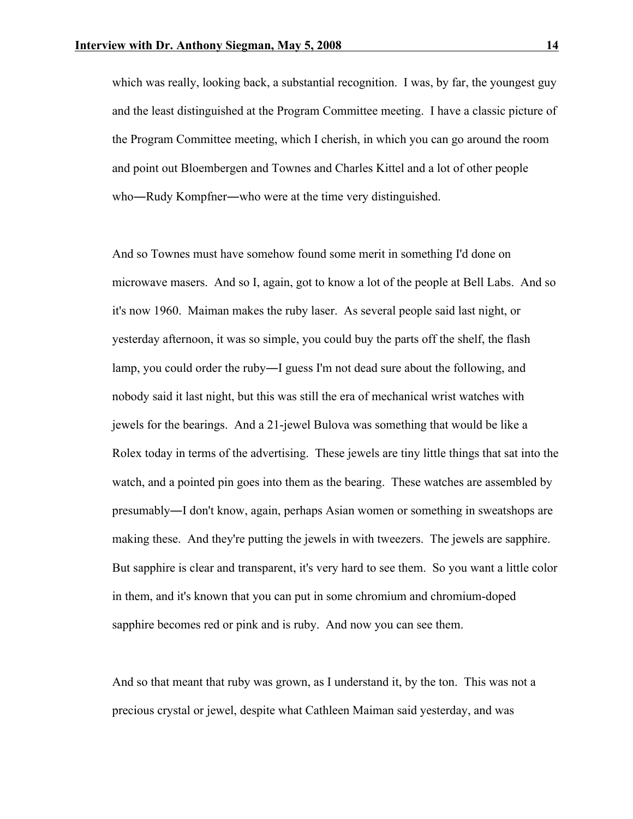which was really, looking back, a substantial recognition. I was, by far, the youngest guy and the least distinguished at the Program Committee meeting. I have a classic picture of the Program Committee meeting, which I cherish, in which you can go around the room and point out Bloembergen and Townes and Charles Kittel and a lot of other people who—Rudy Kompfner—who were at the time very distinguished.

And so Townes must have somehow found some merit in something I'd done on microwave masers. And so I, again, got to know a lot of the people at Bell Labs. And so it's now 1960. Maiman makes the ruby laser. As several people said last night, or yesterday afternoon, it was so simple, you could buy the parts off the shelf, the flash lamp, you could order the ruby―I guess I'm not dead sure about the following, and nobody said it last night, but this was still the era of mechanical wrist watches with jewels for the bearings. And a 21-jewel Bulova was something that would be like a Rolex today in terms of the advertising. These jewels are tiny little things that sat into the watch, and a pointed pin goes into them as the bearing. These watches are assembled by presumably―I don't know, again, perhaps Asian women or something in sweatshops are making these. And they're putting the jewels in with tweezers. The jewels are sapphire. But sapphire is clear and transparent, it's very hard to see them. So you want a little color in them, and it's known that you can put in some chromium and chromium-doped sapphire becomes red or pink and is ruby. And now you can see them.

And so that meant that ruby was grown, as I understand it, by the ton. This was not a precious crystal or jewel, despite what Cathleen Maiman said yesterday, and was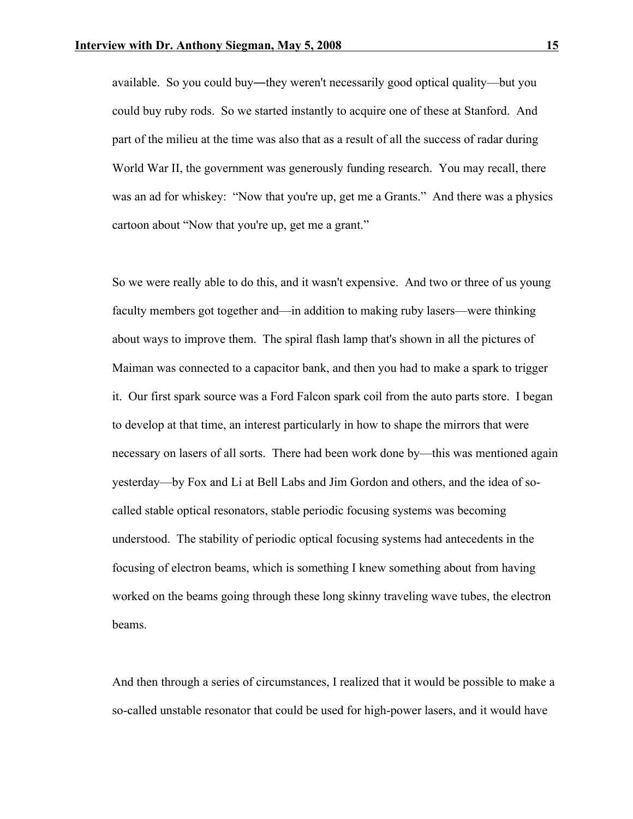available. So you could buy―they weren't necessarily good optical quality—but you could buy ruby rods. So we started instantly to acquire one of these at Stanford. And part of the milieu at the time was also that as a result of all the success of radar during World War II, the government was generously funding research. You may recall, there was an ad for whiskey: "Now that you're up, get me a Grants." And there was a physics cartoon about "Now that you're up, get me a grant."

So we were really able to do this, and it wasn't expensive. And two or three of us young faculty members got together and—in addition to making ruby lasers—were thinking about ways to improve them. The spiral flash lamp that's shown in all the pictures of Maiman was connected to a capacitor bank, and then you had to make a spark to trigger it. Our first spark source was a Ford Falcon spark coil from the auto parts store. I began to develop at that time, an interest particularly in how to shape the mirrors that were necessary on lasers of all sorts. There had been work done by—this was mentioned again yesterday—by Fox and Li at Bell Labs and Jim Gordon and others, and the idea of socalled stable optical resonators, stable periodic focusing systems was becoming understood. The stability of periodic optical focusing systems had antecedents in the focusing of electron beams, which is something I knew something about from having worked on the beams going through these long skinny traveling wave tubes, the electron beams.

And then through a series of circumstances, I realized that it would be possible to make a so-called unstable resonator that could be used for high-power lasers, and it would have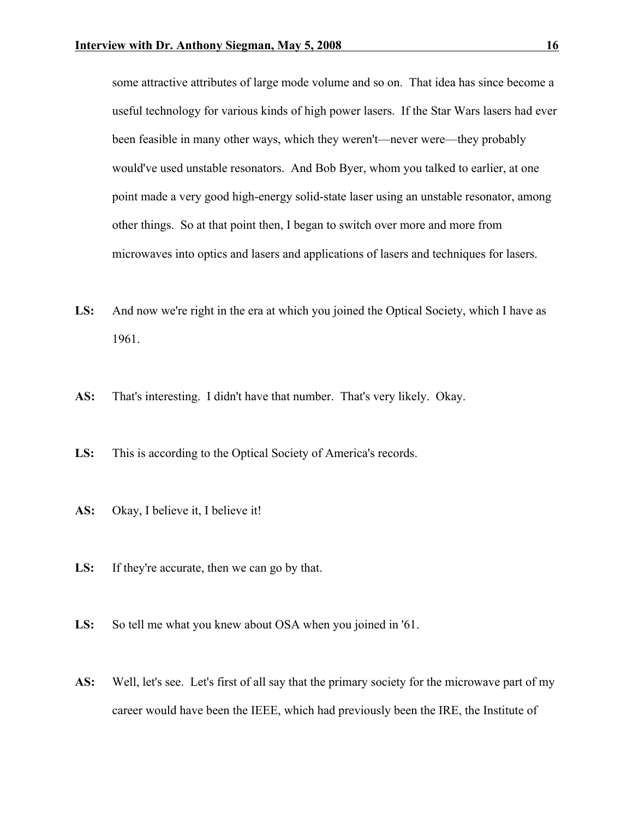some attractive attributes of large mode volume and so on. That idea has since become a useful technology for various kinds of high power lasers. If the Star Wars lasers had ever been feasible in many other ways, which they weren't—never were—they probably would've used unstable resonators. And Bob Byer, whom you talked to earlier, at one point made a very good high-energy solid-state laser using an unstable resonator, among other things. So at that point then, I began to switch over more and more from microwaves into optics and lasers and applications of lasers and techniques for lasers.

- **LS:** And now we're right in the era at which you joined the Optical Society, which I have as 1961.
- **AS:** That's interesting. I didn't have that number. That's very likely. Okay.
- **LS:** This is according to the Optical Society of America's records.
- **AS:** Okay, I believe it, I believe it!
- **LS:** If they're accurate, then we can go by that.
- **LS:** So tell me what you knew about OSA when you joined in '61.
- **AS:** Well, let's see. Let's first of all say that the primary society for the microwave part of my career would have been the IEEE, which had previously been the IRE, the Institute of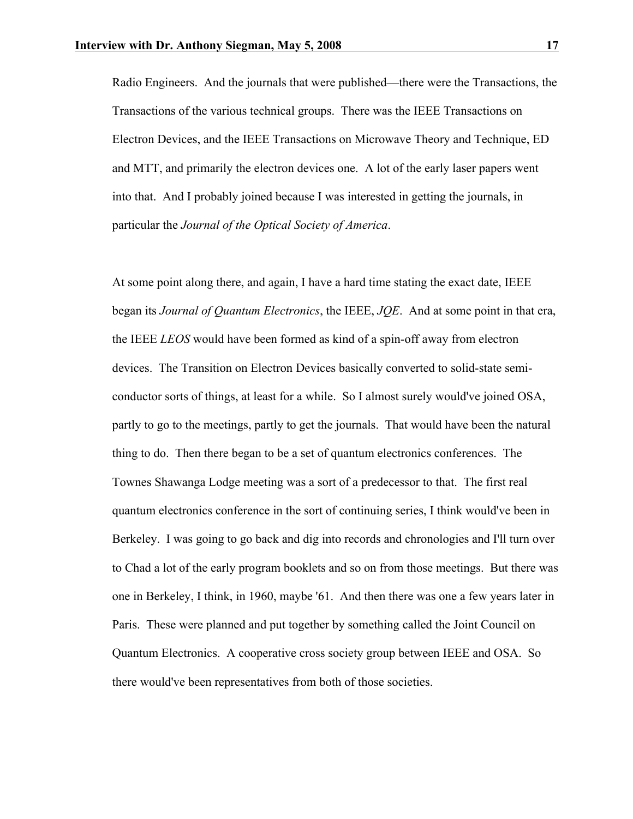Radio Engineers. And the journals that were published—there were the Transactions, the Transactions of the various technical groups. There was the IEEE Transactions on Electron Devices, and the IEEE Transactions on Microwave Theory and Technique, ED and MTT, and primarily the electron devices one. A lot of the early laser papers went into that. And I probably joined because I was interested in getting the journals, in particular the *Journal of the Optical Society of America*.

At some point along there, and again, I have a hard time stating the exact date, IEEE began its *Journal of Quantum Electronics*, the IEEE, *JQE*. And at some point in that era, the IEEE *LEOS* would have been formed as kind of a spin-off away from electron devices. The Transition on Electron Devices basically converted to solid-state semiconductor sorts of things, at least for a while. So I almost surely would've joined OSA, partly to go to the meetings, partly to get the journals. That would have been the natural thing to do. Then there began to be a set of quantum electronics conferences. The Townes Shawanga Lodge meeting was a sort of a predecessor to that. The first real quantum electronics conference in the sort of continuing series, I think would've been in Berkeley. I was going to go back and dig into records and chronologies and I'll turn over to Chad a lot of the early program booklets and so on from those meetings. But there was one in Berkeley, I think, in 1960, maybe '61. And then there was one a few years later in Paris. These were planned and put together by something called the Joint Council on Quantum Electronics. A cooperative cross society group between IEEE and OSA. So there would've been representatives from both of those societies.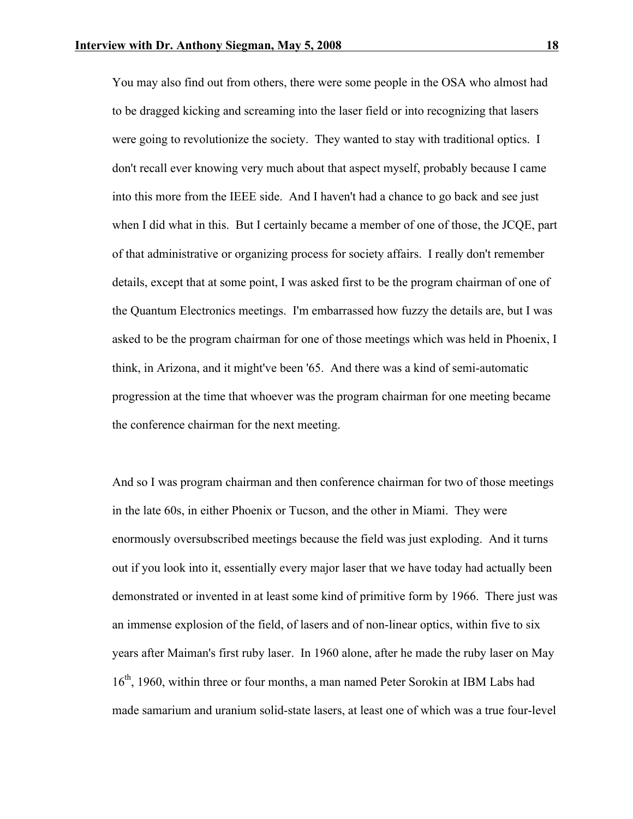You may also find out from others, there were some people in the OSA who almost had to be dragged kicking and screaming into the laser field or into recognizing that lasers were going to revolutionize the society. They wanted to stay with traditional optics. I don't recall ever knowing very much about that aspect myself, probably because I came into this more from the IEEE side. And I haven't had a chance to go back and see just when I did what in this. But I certainly became a member of one of those, the JCQE, part of that administrative or organizing process for society affairs. I really don't remember details, except that at some point, I was asked first to be the program chairman of one of the Quantum Electronics meetings. I'm embarrassed how fuzzy the details are, but I was asked to be the program chairman for one of those meetings which was held in Phoenix, I think, in Arizona, and it might've been '65. And there was a kind of semi-automatic progression at the time that whoever was the program chairman for one meeting became the conference chairman for the next meeting.

And so I was program chairman and then conference chairman for two of those meetings in the late 60s, in either Phoenix or Tucson, and the other in Miami. They were enormously oversubscribed meetings because the field was just exploding. And it turns out if you look into it, essentially every major laser that we have today had actually been demonstrated or invented in at least some kind of primitive form by 1966. There just was an immense explosion of the field, of lasers and of non-linear optics, within five to six years after Maiman's first ruby laser. In 1960 alone, after he made the ruby laser on May 16<sup>th</sup>, 1960, within three or four months, a man named Peter Sorokin at IBM Labs had made samarium and uranium solid-state lasers, at least one of which was a true four-level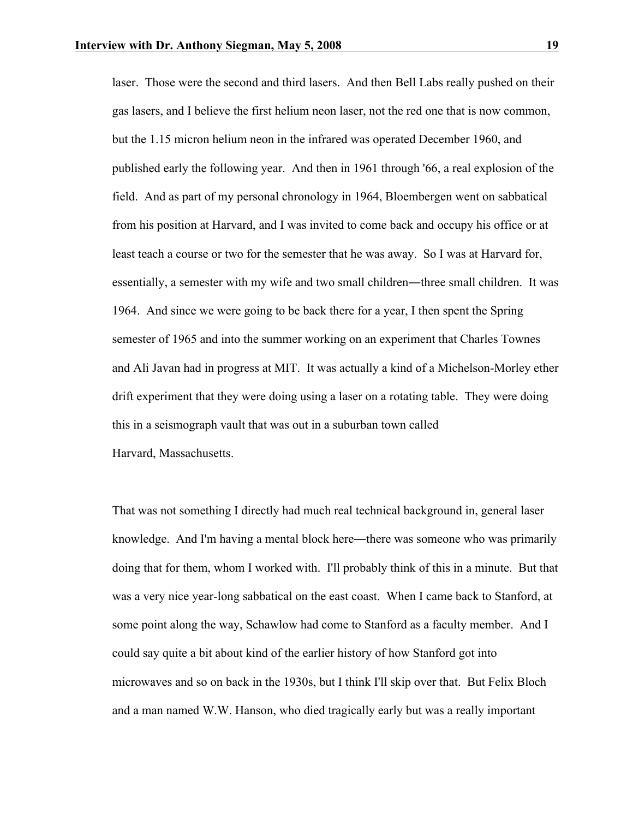laser. Those were the second and third lasers. And then Bell Labs really pushed on their gas lasers, and I believe the first helium neon laser, not the red one that is now common, but the 1.15 micron helium neon in the infrared was operated December 1960, and published early the following year. And then in 1961 through '66, a real explosion of the field. And as part of my personal chronology in 1964, Bloembergen went on sabbatical from his position at Harvard, and I was invited to come back and occupy his office or at least teach a course or two for the semester that he was away. So I was at Harvard for, essentially, a semester with my wife and two small children—three small children. It was 1964. And since we were going to be back there for a year, I then spent the Spring semester of 1965 and into the summer working on an experiment that Charles Townes and Ali Javan had in progress at MIT. It was actually a kind of a Michelson-Morley ether drift experiment that they were doing using a laser on a rotating table. They were doing this in a seismograph vault that was out in a suburban town called Harvard, Massachusetts.

That was not something I directly had much real technical background in, general laser knowledge. And I'm having a mental block here—there was someone who was primarily doing that for them, whom I worked with. I'll probably think of this in a minute. But that was a very nice year-long sabbatical on the east coast. When I came back to Stanford, at some point along the way, Schawlow had come to Stanford as a faculty member. And I could say quite a bit about kind of the earlier history of how Stanford got into microwaves and so on back in the 1930s, but I think I'll skip over that. But Felix Bloch and a man named W.W. Hanson, who died tragically early but was a really important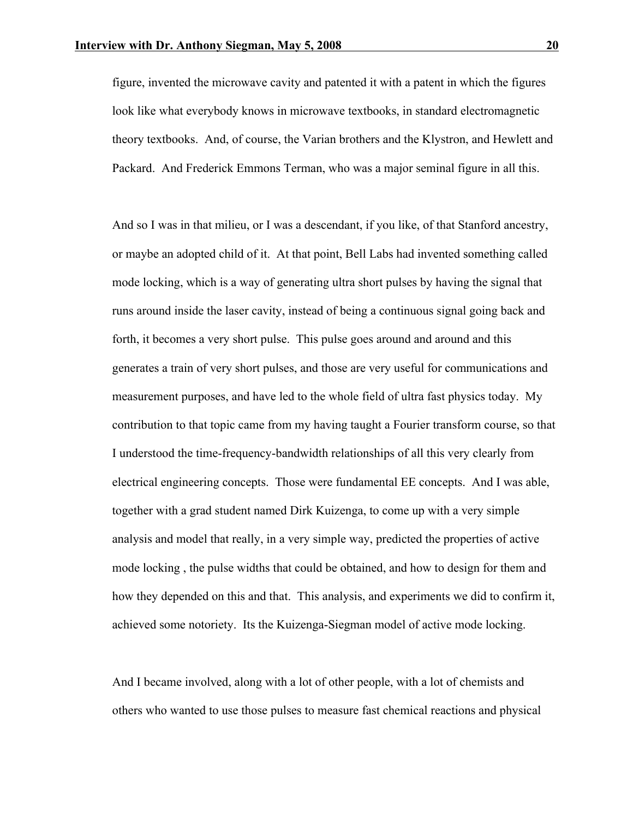figure, invented the microwave cavity and patented it with a patent in which the figures look like what everybody knows in microwave textbooks, in standard electromagnetic theory textbooks. And, of course, the Varian brothers and the Klystron, and Hewlett and Packard. And Frederick Emmons Terman, who was a major seminal figure in all this.

And so I was in that milieu, or I was a descendant, if you like, of that Stanford ancestry, or maybe an adopted child of it. At that point, Bell Labs had invented something called mode locking, which is a way of generating ultra short pulses by having the signal that runs around inside the laser cavity, instead of being a continuous signal going back and forth, it becomes a very short pulse. This pulse goes around and around and this generates a train of very short pulses, and those are very useful for communications and measurement purposes, and have led to the whole field of ultra fast physics today. My contribution to that topic came from my having taught a Fourier transform course, so that I understood the time-frequency-bandwidth relationships of all this very clearly from electrical engineering concepts. Those were fundamental EE concepts. And I was able, together with a grad student named Dirk Kuizenga, to come up with a very simple analysis and model that really, in a very simple way, predicted the properties of active mode locking , the pulse widths that could be obtained, and how to design for them and how they depended on this and that. This analysis, and experiments we did to confirm it, achieved some notoriety. Its the Kuizenga-Siegman model of active mode locking.

And I became involved, along with a lot of other people, with a lot of chemists and others who wanted to use those pulses to measure fast chemical reactions and physical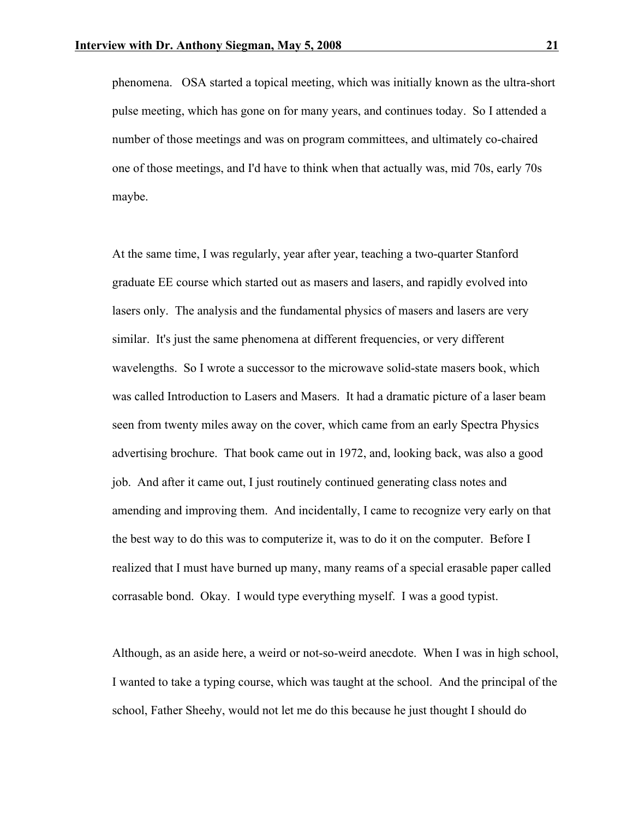phenomena. OSA started a topical meeting, which was initially known as the ultra-short pulse meeting, which has gone on for many years, and continues today. So I attended a number of those meetings and was on program committees, and ultimately co-chaired one of those meetings, and I'd have to think when that actually was, mid 70s, early 70s maybe.

At the same time, I was regularly, year after year, teaching a two-quarter Stanford graduate EE course which started out as masers and lasers, and rapidly evolved into lasers only. The analysis and the fundamental physics of masers and lasers are very similar. It's just the same phenomena at different frequencies, or very different wavelengths. So I wrote a successor to the microwave solid-state masers book, which was called Introduction to Lasers and Masers. It had a dramatic picture of a laser beam seen from twenty miles away on the cover, which came from an early Spectra Physics advertising brochure. That book came out in 1972, and, looking back, was also a good job. And after it came out, I just routinely continued generating class notes and amending and improving them. And incidentally, I came to recognize very early on that the best way to do this was to computerize it, was to do it on the computer. Before I realized that I must have burned up many, many reams of a special erasable paper called corrasable bond. Okay. I would type everything myself. I was a good typist.

Although, as an aside here, a weird or not-so-weird anecdote. When I was in high school, I wanted to take a typing course, which was taught at the school. And the principal of the school, Father Sheehy, would not let me do this because he just thought I should do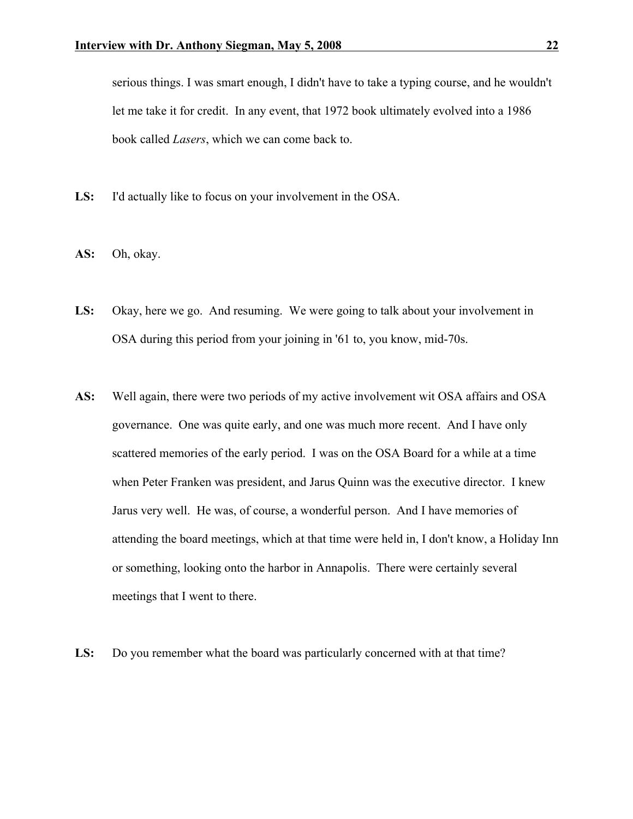serious things. I was smart enough, I didn't have to take a typing course, and he wouldn't let me take it for credit. In any event, that 1972 book ultimately evolved into a 1986 book called *Lasers*, which we can come back to.

- **LS:** I'd actually like to focus on your involvement in the OSA.
- **AS:** Oh, okay.
- **LS:** Okay, here we go. And resuming. We were going to talk about your involvement in OSA during this period from your joining in '61 to, you know, mid-70s.
- **AS:** Well again, there were two periods of my active involvement wit OSA affairs and OSA governance. One was quite early, and one was much more recent. And I have only scattered memories of the early period. I was on the OSA Board for a while at a time when Peter Franken was president, and Jarus Quinn was the executive director. I knew Jarus very well. He was, of course, a wonderful person. And I have memories of attending the board meetings, which at that time were held in, I don't know, a Holiday Inn or something, looking onto the harbor in Annapolis. There were certainly several meetings that I went to there.
- **LS:** Do you remember what the board was particularly concerned with at that time?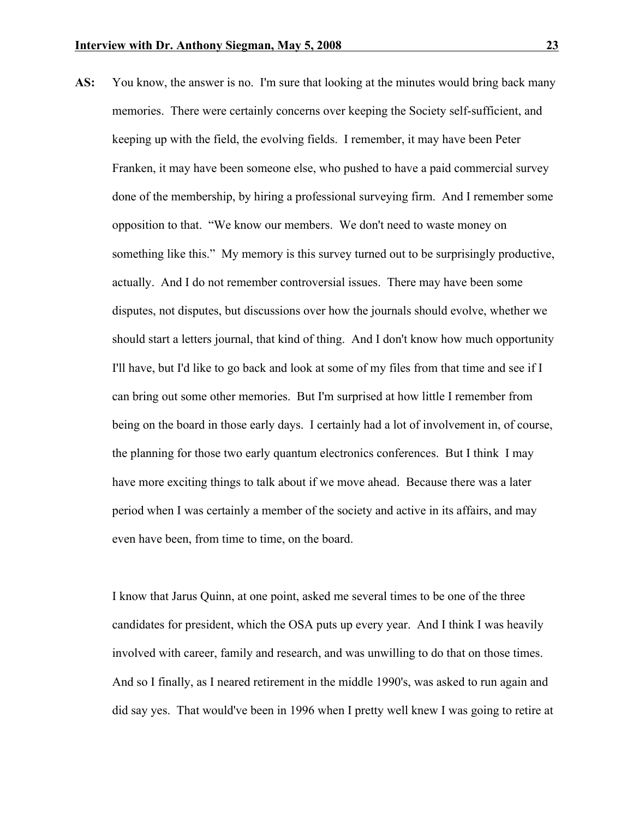**AS:** You know, the answer is no. I'm sure that looking at the minutes would bring back many memories. There were certainly concerns over keeping the Society self-sufficient, and keeping up with the field, the evolving fields. I remember, it may have been Peter Franken, it may have been someone else, who pushed to have a paid commercial survey done of the membership, by hiring a professional surveying firm. And I remember some opposition to that. "We know our members. We don't need to waste money on something like this." My memory is this survey turned out to be surprisingly productive, actually. And I do not remember controversial issues. There may have been some disputes, not disputes, but discussions over how the journals should evolve, whether we should start a letters journal, that kind of thing. And I don't know how much opportunity I'll have, but I'd like to go back and look at some of my files from that time and see if I can bring out some other memories. But I'm surprised at how little I remember from being on the board in those early days. I certainly had a lot of involvement in, of course, the planning for those two early quantum electronics conferences. But I think I may have more exciting things to talk about if we move ahead. Because there was a later period when I was certainly a member of the society and active in its affairs, and may even have been, from time to time, on the board.

I know that Jarus Quinn, at one point, asked me several times to be one of the three candidates for president, which the OSA puts up every year. And I think I was heavily involved with career, family and research, and was unwilling to do that on those times. And so I finally, as I neared retirement in the middle 1990's, was asked to run again and did say yes. That would've been in 1996 when I pretty well knew I was going to retire at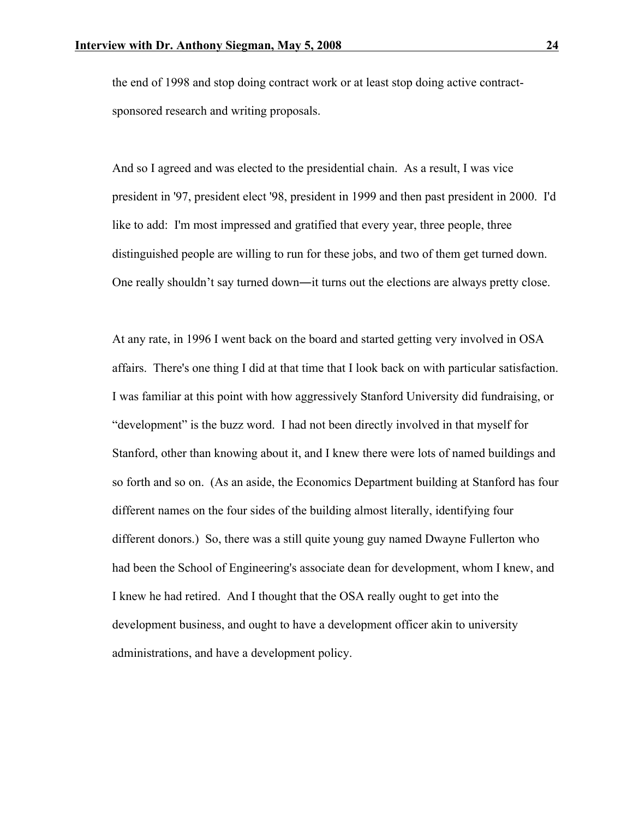the end of 1998 and stop doing contract work or at least stop doing active contractsponsored research and writing proposals.

And so I agreed and was elected to the presidential chain. As a result, I was vice president in '97, president elect '98, president in 1999 and then past president in 2000. I'd like to add: I'm most impressed and gratified that every year, three people, three distinguished people are willing to run for these jobs, and two of them get turned down. One really shouldn't say turned down―it turns out the elections are always pretty close.

At any rate, in 1996 I went back on the board and started getting very involved in OSA affairs. There's one thing I did at that time that I look back on with particular satisfaction. I was familiar at this point with how aggressively Stanford University did fundraising, or "development" is the buzz word. I had not been directly involved in that myself for Stanford, other than knowing about it, and I knew there were lots of named buildings and so forth and so on. (As an aside, the Economics Department building at Stanford has four different names on the four sides of the building almost literally, identifying four different donors.) So, there was a still quite young guy named Dwayne Fullerton who had been the School of Engineering's associate dean for development, whom I knew, and I knew he had retired. And I thought that the OSA really ought to get into the development business, and ought to have a development officer akin to university administrations, and have a development policy.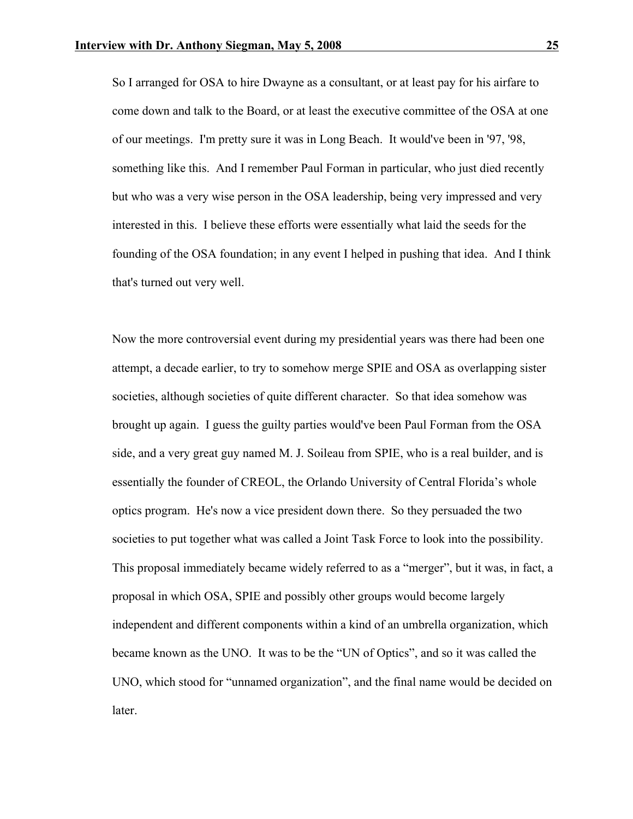So I arranged for OSA to hire Dwayne as a consultant, or at least pay for his airfare to come down and talk to the Board, or at least the executive committee of the OSA at one of our meetings. I'm pretty sure it was in Long Beach. It would've been in '97, '98, something like this. And I remember Paul Forman in particular, who just died recently but who was a very wise person in the OSA leadership, being very impressed and very interested in this. I believe these efforts were essentially what laid the seeds for the founding of the OSA foundation; in any event I helped in pushing that idea. And I think that's turned out very well.

Now the more controversial event during my presidential years was there had been one attempt, a decade earlier, to try to somehow merge SPIE and OSA as overlapping sister societies, although societies of quite different character. So that idea somehow was brought up again. I guess the guilty parties would've been Paul Forman from the OSA side, and a very great guy named M. J. Soileau from SPIE, who is a real builder, and is essentially the founder of CREOL, the Orlando University of Central Florida's whole optics program. He's now a vice president down there. So they persuaded the two societies to put together what was called a Joint Task Force to look into the possibility. This proposal immediately became widely referred to as a "merger", but it was, in fact, a proposal in which OSA, SPIE and possibly other groups would become largely independent and different components within a kind of an umbrella organization, which became known as the UNO. It was to be the "UN of Optics", and so it was called the UNO, which stood for "unnamed organization", and the final name would be decided on later.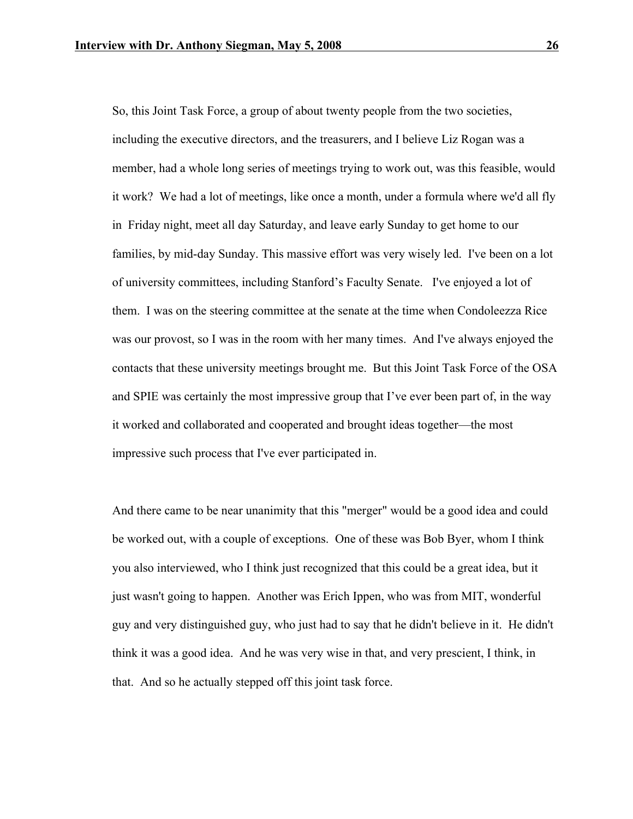So, this Joint Task Force, a group of about twenty people from the two societies, including the executive directors, and the treasurers, and I believe Liz Rogan was a member, had a whole long series of meetings trying to work out, was this feasible, would it work? We had a lot of meetings, like once a month, under a formula where we'd all fly in Friday night, meet all day Saturday, and leave early Sunday to get home to our families, by mid-day Sunday. This massive effort was very wisely led. I've been on a lot of university committees, including Stanford's Faculty Senate. I've enjoyed a lot of them. I was on the steering committee at the senate at the time when Condoleezza Rice was our provost, so I was in the room with her many times. And I've always enjoyed the contacts that these university meetings brought me. But this Joint Task Force of the OSA and SPIE was certainly the most impressive group that I've ever been part of, in the way it worked and collaborated and cooperated and brought ideas together—the most impressive such process that I've ever participated in.

And there came to be near unanimity that this "merger" would be a good idea and could be worked out, with a couple of exceptions. One of these was Bob Byer, whom I think you also interviewed, who I think just recognized that this could be a great idea, but it just wasn't going to happen. Another was Erich Ippen, who was from MIT, wonderful guy and very distinguished guy, who just had to say that he didn't believe in it. He didn't think it was a good idea. And he was very wise in that, and very prescient, I think, in that. And so he actually stepped off this joint task force.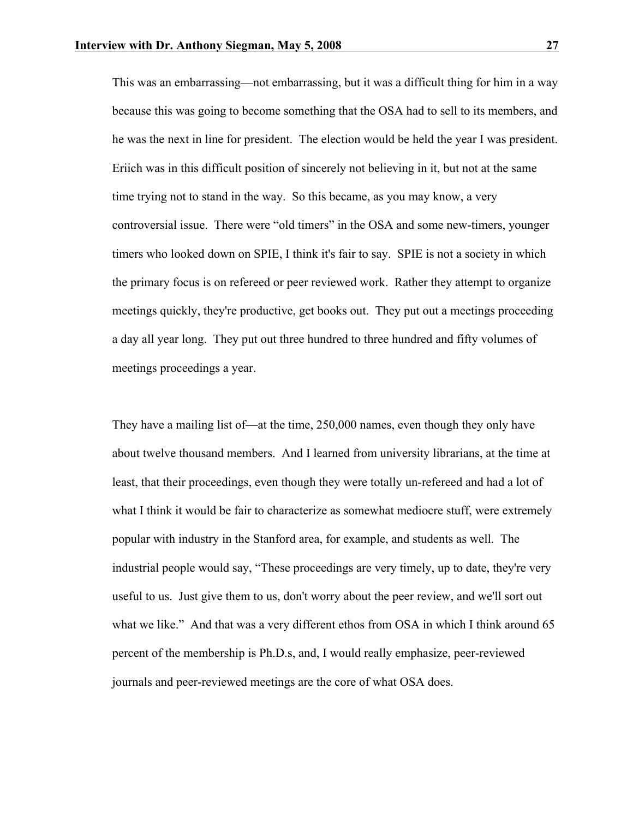This was an embarrassing—not embarrassing, but it was a difficult thing for him in a way because this was going to become something that the OSA had to sell to its members, and he was the next in line for president. The election would be held the year I was president. Eriich was in this difficult position of sincerely not believing in it, but not at the same time trying not to stand in the way. So this became, as you may know, a very controversial issue. There were "old timers" in the OSA and some new-timers, younger timers who looked down on SPIE, I think it's fair to say. SPIE is not a society in which the primary focus is on refereed or peer reviewed work. Rather they attempt to organize meetings quickly, they're productive, get books out. They put out a meetings proceeding a day all year long. They put out three hundred to three hundred and fifty volumes of meetings proceedings a year.

They have a mailing list of—at the time, 250,000 names, even though they only have about twelve thousand members. And I learned from university librarians, at the time at least, that their proceedings, even though they were totally un-refereed and had a lot of what I think it would be fair to characterize as somewhat mediocre stuff, were extremely popular with industry in the Stanford area, for example, and students as well. The industrial people would say, "These proceedings are very timely, up to date, they're very useful to us. Just give them to us, don't worry about the peer review, and we'll sort out what we like." And that was a very different ethos from OSA in which I think around 65 percent of the membership is Ph.D.s, and, I would really emphasize, peer-reviewed journals and peer-reviewed meetings are the core of what OSA does.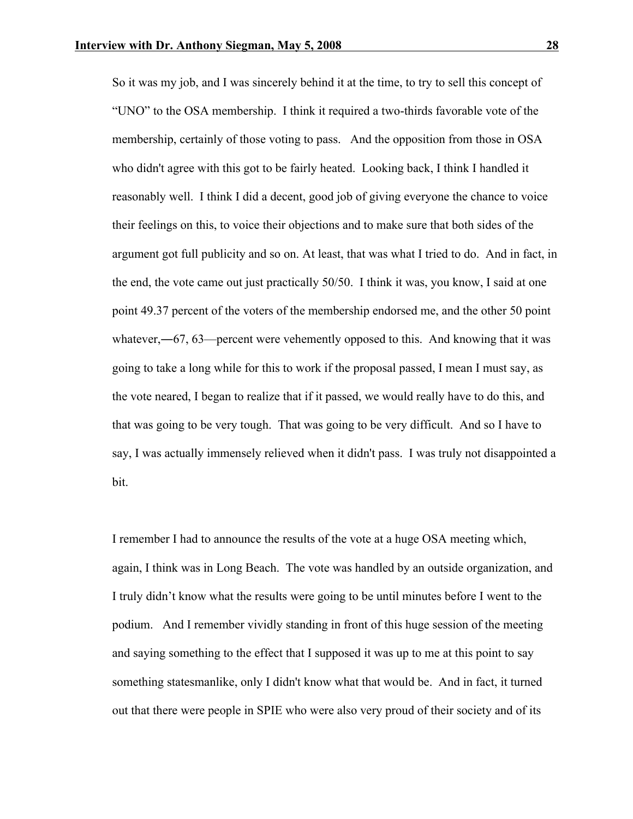So it was my job, and I was sincerely behind it at the time, to try to sell this concept of "UNO" to the OSA membership. I think it required a two-thirds favorable vote of the membership, certainly of those voting to pass. And the opposition from those in OSA who didn't agree with this got to be fairly heated. Looking back, I think I handled it reasonably well. I think I did a decent, good job of giving everyone the chance to voice their feelings on this, to voice their objections and to make sure that both sides of the argument got full publicity and so on. At least, that was what I tried to do. And in fact, in the end, the vote came out just practically 50/50. I think it was, you know, I said at one point 49.37 percent of the voters of the membership endorsed me, and the other 50 point whatever,—67, 63—percent were vehemently opposed to this. And knowing that it was going to take a long while for this to work if the proposal passed, I mean I must say, as the vote neared, I began to realize that if it passed, we would really have to do this, and that was going to be very tough. That was going to be very difficult. And so I have to say, I was actually immensely relieved when it didn't pass. I was truly not disappointed a bit.

I remember I had to announce the results of the vote at a huge OSA meeting which, again, I think was in Long Beach. The vote was handled by an outside organization, and I truly didn't know what the results were going to be until minutes before I went to the podium. And I remember vividly standing in front of this huge session of the meeting and saying something to the effect that I supposed it was up to me at this point to say something statesmanlike, only I didn't know what that would be. And in fact, it turned out that there were people in SPIE who were also very proud of their society and of its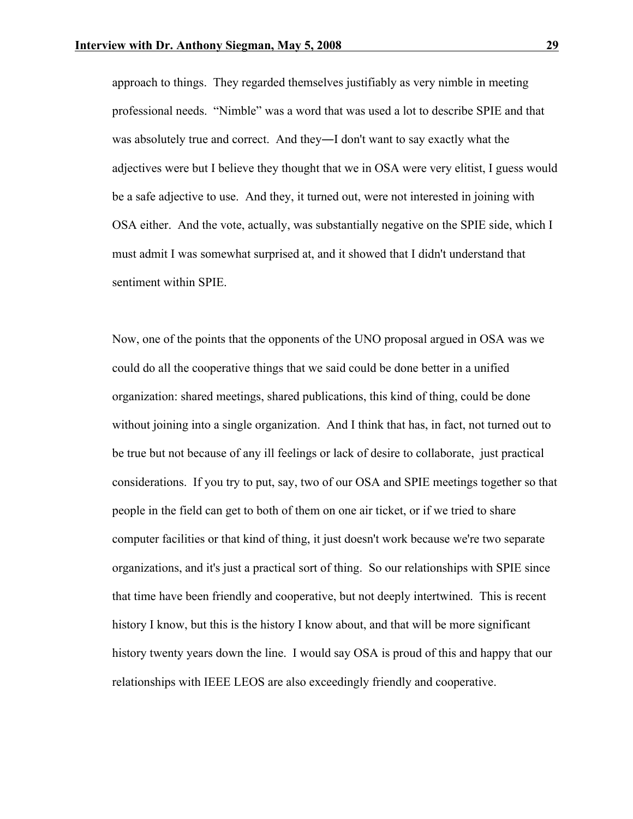approach to things. They regarded themselves justifiably as very nimble in meeting professional needs. "Nimble" was a word that was used a lot to describe SPIE and that was absolutely true and correct. And they―I don't want to say exactly what the adjectives were but I believe they thought that we in OSA were very elitist, I guess would be a safe adjective to use. And they, it turned out, were not interested in joining with OSA either. And the vote, actually, was substantially negative on the SPIE side, which I must admit I was somewhat surprised at, and it showed that I didn't understand that sentiment within SPIE.

Now, one of the points that the opponents of the UNO proposal argued in OSA was we could do all the cooperative things that we said could be done better in a unified organization: shared meetings, shared publications, this kind of thing, could be done without joining into a single organization. And I think that has, in fact, not turned out to be true but not because of any ill feelings or lack of desire to collaborate, just practical considerations. If you try to put, say, two of our OSA and SPIE meetings together so that people in the field can get to both of them on one air ticket, or if we tried to share computer facilities or that kind of thing, it just doesn't work because we're two separate organizations, and it's just a practical sort of thing. So our relationships with SPIE since that time have been friendly and cooperative, but not deeply intertwined. This is recent history I know, but this is the history I know about, and that will be more significant history twenty years down the line. I would say OSA is proud of this and happy that our relationships with IEEE LEOS are also exceedingly friendly and cooperative.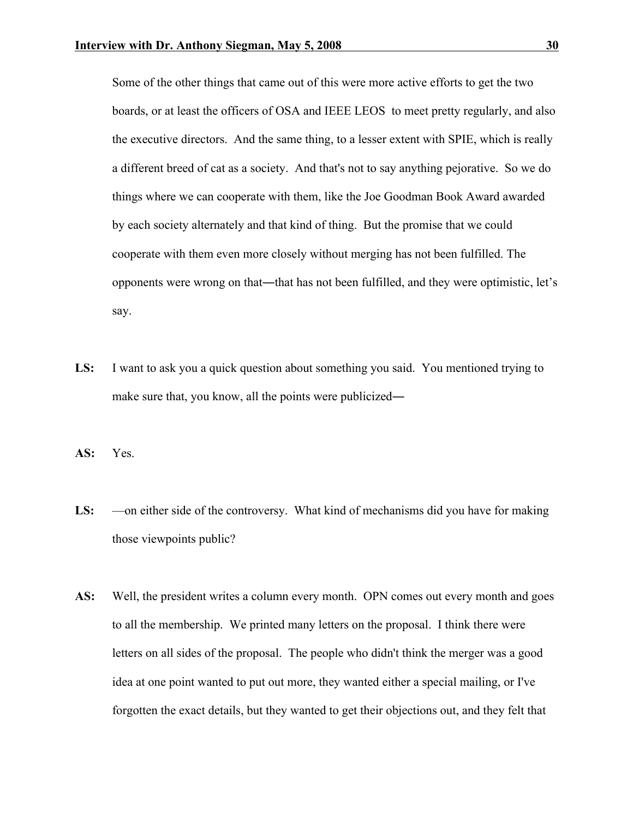Some of the other things that came out of this were more active efforts to get the two boards, or at least the officers of OSA and IEEE LEOS to meet pretty regularly, and also the executive directors. And the same thing, to a lesser extent with SPIE, which is really a different breed of cat as a society. And that's not to say anything pejorative. So we do things where we can cooperate with them, like the Joe Goodman Book Award awarded by each society alternately and that kind of thing. But the promise that we could cooperate with them even more closely without merging has not been fulfilled. The opponents were wrong on that―that has not been fulfilled, and they were optimistic, let's say.

**LS:** I want to ask you a quick question about something you said. You mentioned trying to make sure that, you know, all the points were publicized—

**AS:** Yes.

- LS: —on either side of the controversy. What kind of mechanisms did you have for making those viewpoints public?
- AS: Well, the president writes a column every month. OPN comes out every month and goes to all the membership. We printed many letters on the proposal. I think there were letters on all sides of the proposal. The people who didn't think the merger was a good idea at one point wanted to put out more, they wanted either a special mailing, or I've forgotten the exact details, but they wanted to get their objections out, and they felt that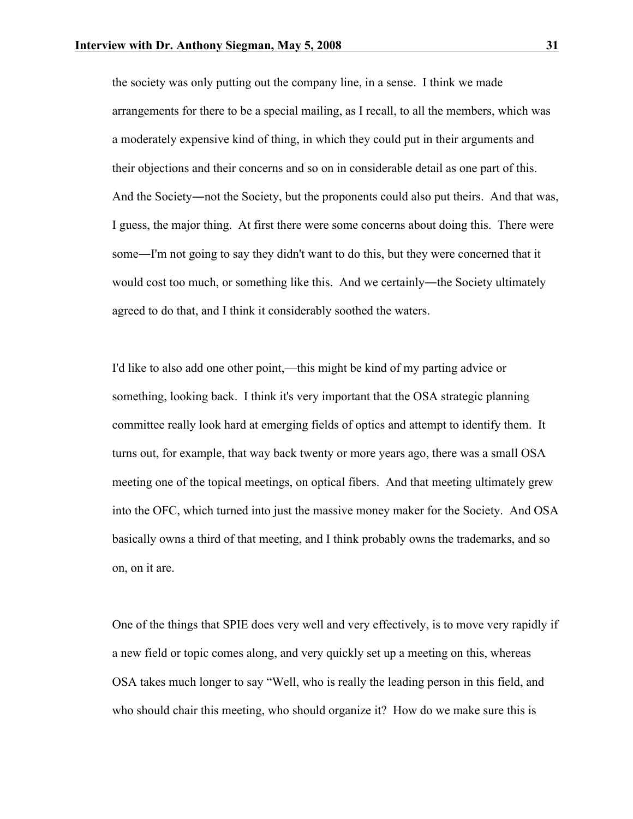the society was only putting out the company line, in a sense. I think we made arrangements for there to be a special mailing, as I recall, to all the members, which was a moderately expensive kind of thing, in which they could put in their arguments and their objections and their concerns and so on in considerable detail as one part of this. And the Society—not the Society, but the proponents could also put theirs. And that was, I guess, the major thing. At first there were some concerns about doing this. There were some―I'm not going to say they didn't want to do this, but they were concerned that it would cost too much, or something like this. And we certainly—the Society ultimately agreed to do that, and I think it considerably soothed the waters.

I'd like to also add one other point,—this might be kind of my parting advice or something, looking back. I think it's very important that the OSA strategic planning committee really look hard at emerging fields of optics and attempt to identify them. It turns out, for example, that way back twenty or more years ago, there was a small OSA meeting one of the topical meetings, on optical fibers. And that meeting ultimately grew into the OFC, which turned into just the massive money maker for the Society. And OSA basically owns a third of that meeting, and I think probably owns the trademarks, and so on, on it are.

One of the things that SPIE does very well and very effectively, is to move very rapidly if a new field or topic comes along, and very quickly set up a meeting on this, whereas OSA takes much longer to say "Well, who is really the leading person in this field, and who should chair this meeting, who should organize it? How do we make sure this is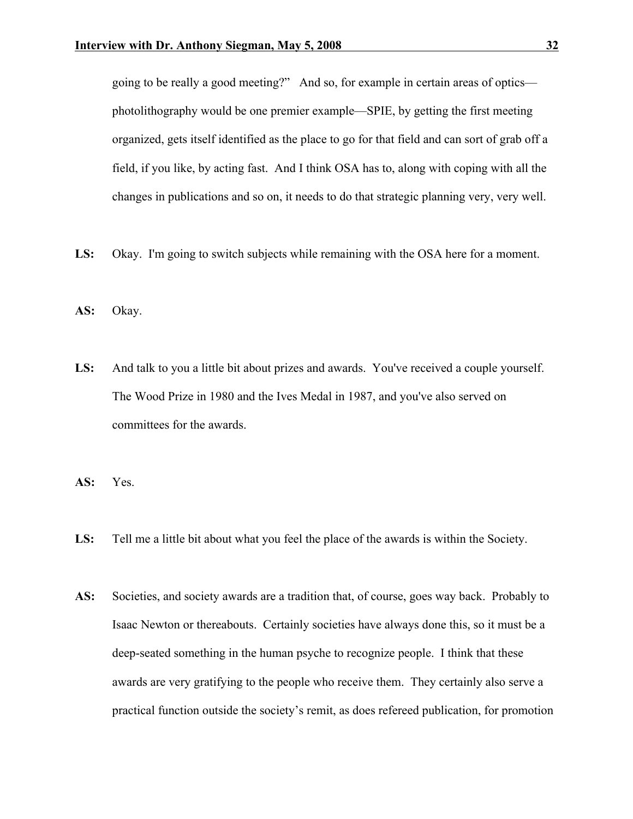going to be really a good meeting?" And so, for example in certain areas of optics photolithography would be one premier example—SPIE, by getting the first meeting organized, gets itself identified as the place to go for that field and can sort of grab off a field, if you like, by acting fast. And I think OSA has to, along with coping with all the changes in publications and so on, it needs to do that strategic planning very, very well.

- LS: Okay. I'm going to switch subjects while remaining with the OSA here for a moment.
- **AS:** Okay.
- **LS:** And talk to you a little bit about prizes and awards. You've received a couple yourself. The Wood Prize in 1980 and the Ives Medal in 1987, and you've also served on committees for the awards.
- **AS:** Yes.
- **LS:** Tell me a little bit about what you feel the place of the awards is within the Society.
- AS: Societies, and society awards are a tradition that, of course, goes way back. Probably to Isaac Newton or thereabouts. Certainly societies have always done this, so it must be a deep-seated something in the human psyche to recognize people. I think that these awards are very gratifying to the people who receive them. They certainly also serve a practical function outside the society's remit, as does refereed publication, for promotion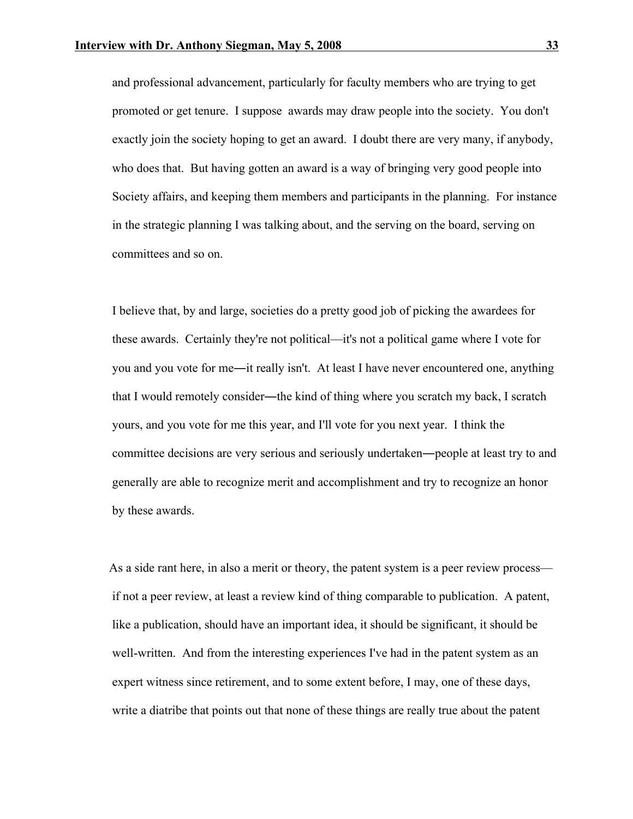and professional advancement, particularly for faculty members who are trying to get promoted or get tenure. I suppose awards may draw people into the society. You don't exactly join the society hoping to get an award. I doubt there are very many, if anybody, who does that. But having gotten an award is a way of bringing very good people into Society affairs, and keeping them members and participants in the planning. For instance in the strategic planning I was talking about, and the serving on the board, serving on committees and so on.

I believe that, by and large, societies do a pretty good job of picking the awardees for these awards. Certainly they're not political—it's not a political game where I vote for you and you vote for me―it really isn't. At least I have never encountered one, anything that I would remotely consider―the kind of thing where you scratch my back, I scratch yours, and you vote for me this year, and I'll vote for you next year. I think the committee decisions are very serious and seriously undertaken―people at least try to and generally are able to recognize merit and accomplishment and try to recognize an honor by these awards.

 As a side rant here, in also a merit or theory, the patent system is a peer review process if not a peer review, at least a review kind of thing comparable to publication. A patent, like a publication, should have an important idea, it should be significant, it should be well-written. And from the interesting experiences I've had in the patent system as an expert witness since retirement, and to some extent before, I may, one of these days, write a diatribe that points out that none of these things are really true about the patent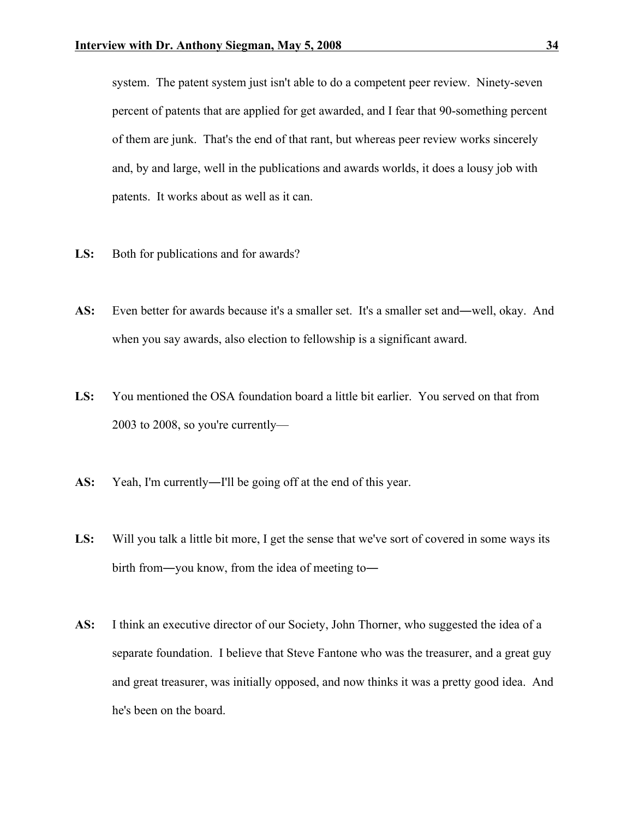system. The patent system just isn't able to do a competent peer review. Ninety-seven percent of patents that are applied for get awarded, and I fear that 90-something percent of them are junk. That's the end of that rant, but whereas peer review works sincerely and, by and large, well in the publications and awards worlds, it does a lousy job with patents. It works about as well as it can.

- LS: Both for publications and for awards?
- **AS:** Even better for awards because it's a smaller set. It's a smaller set and―well, okay. And when you say awards, also election to fellowship is a significant award.
- **LS:** You mentioned the OSA foundation board a little bit earlier. You served on that from 2003 to 2008, so you're currently—
- AS: Yeah, I'm currently—I'll be going off at the end of this year.
- **LS:** Will you talk a little bit more, I get the sense that we've sort of covered in some ways its birth from―you know, from the idea of meeting to―
- **AS:** I think an executive director of our Society, John Thorner, who suggested the idea of a separate foundation. I believe that Steve Fantone who was the treasurer, and a great guy and great treasurer, was initially opposed, and now thinks it was a pretty good idea. And he's been on the board.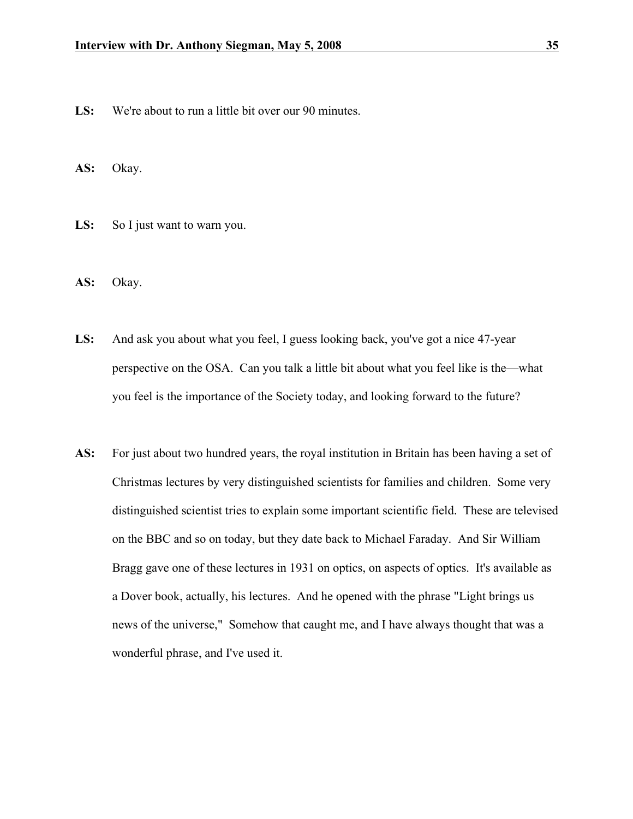- **LS:** We're about to run a little bit over our 90 minutes.
- **AS:** Okay.
- LS: So I just want to warn you.
- **AS:** Okay.
- **LS:** And ask you about what you feel, I guess looking back, you've got a nice 47-year perspective on the OSA. Can you talk a little bit about what you feel like is the—what you feel is the importance of the Society today, and looking forward to the future?
- **AS:** For just about two hundred years, the royal institution in Britain has been having a set of Christmas lectures by very distinguished scientists for families and children. Some very distinguished scientist tries to explain some important scientific field. These are televised on the BBC and so on today, but they date back to Michael Faraday. And Sir William Bragg gave one of these lectures in 1931 on optics, on aspects of optics. It's available as a Dover book, actually, his lectures. And he opened with the phrase "Light brings us news of the universe," Somehow that caught me, and I have always thought that was a wonderful phrase, and I've used it.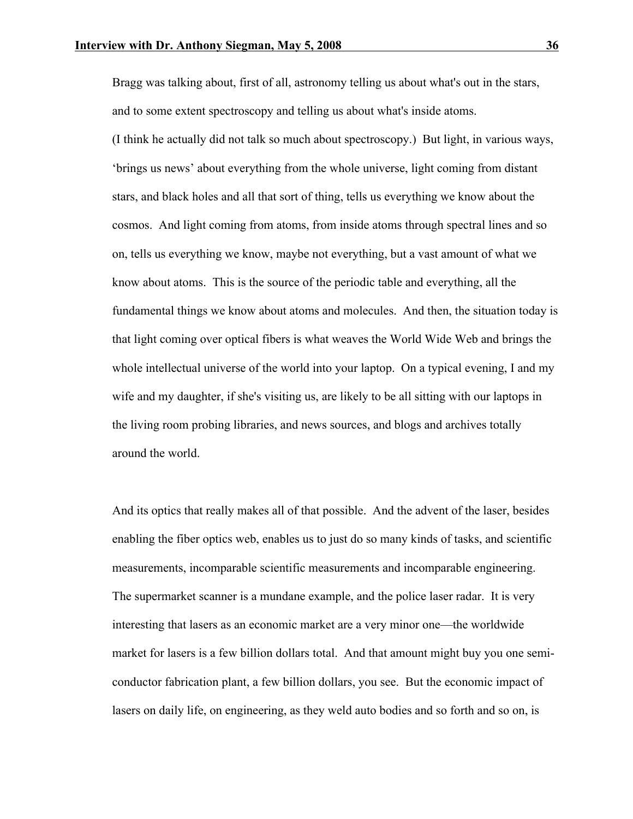Bragg was talking about, first of all, astronomy telling us about what's out in the stars, and to some extent spectroscopy and telling us about what's inside atoms.

(I think he actually did not talk so much about spectroscopy.) But light, in various ways, 'brings us news' about everything from the whole universe, light coming from distant stars, and black holes and all that sort of thing, tells us everything we know about the cosmos. And light coming from atoms, from inside atoms through spectral lines and so on, tells us everything we know, maybe not everything, but a vast amount of what we know about atoms. This is the source of the periodic table and everything, all the fundamental things we know about atoms and molecules. And then, the situation today is that light coming over optical fibers is what weaves the World Wide Web and brings the whole intellectual universe of the world into your laptop. On a typical evening, I and my wife and my daughter, if she's visiting us, are likely to be all sitting with our laptops in the living room probing libraries, and news sources, and blogs and archives totally around the world.

And its optics that really makes all of that possible. And the advent of the laser, besides enabling the fiber optics web, enables us to just do so many kinds of tasks, and scientific measurements, incomparable scientific measurements and incomparable engineering. The supermarket scanner is a mundane example, and the police laser radar. It is very interesting that lasers as an economic market are a very minor one—the worldwide market for lasers is a few billion dollars total. And that amount might buy you one semiconductor fabrication plant, a few billion dollars, you see. But the economic impact of lasers on daily life, on engineering, as they weld auto bodies and so forth and so on, is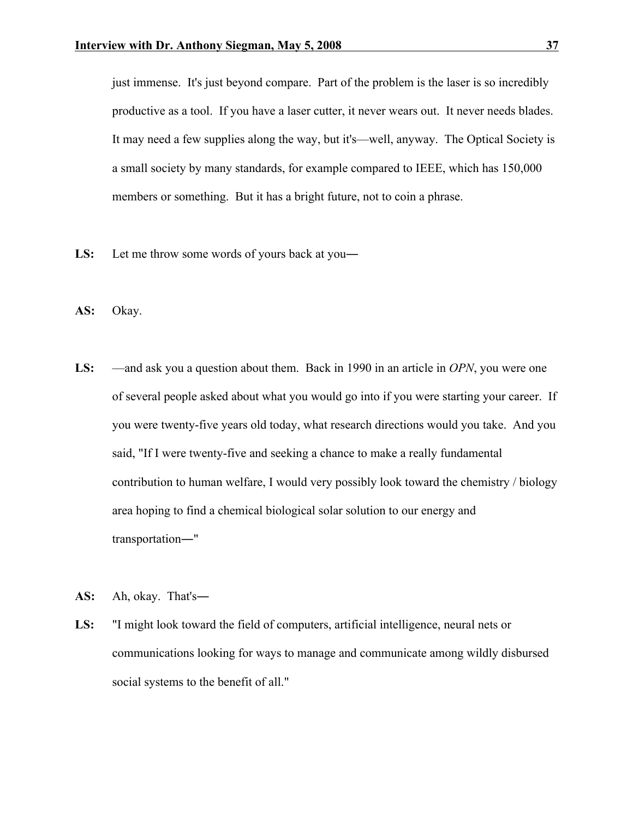just immense. It's just beyond compare. Part of the problem is the laser is so incredibly productive as a tool. If you have a laser cutter, it never wears out. It never needs blades. It may need a few supplies along the way, but it's—well, anyway. The Optical Society is a small society by many standards, for example compared to IEEE, which has 150,000 members or something. But it has a bright future, not to coin a phrase.

- LS: Let me throw some words of yours back at you—
- **AS:** Okay.
- **LS:** —and ask you a question about them. Back in 1990 in an article in *OPN*, you were one of several people asked about what you would go into if you were starting your career. If you were twenty-five years old today, what research directions would you take. And you said, "If I were twenty-five and seeking a chance to make a really fundamental contribution to human welfare, I would very possibly look toward the chemistry / biology area hoping to find a chemical biological solar solution to our energy and transportation―"
- **AS:** Ah, okay. That's―
- **LS:** "I might look toward the field of computers, artificial intelligence, neural nets or communications looking for ways to manage and communicate among wildly disbursed social systems to the benefit of all."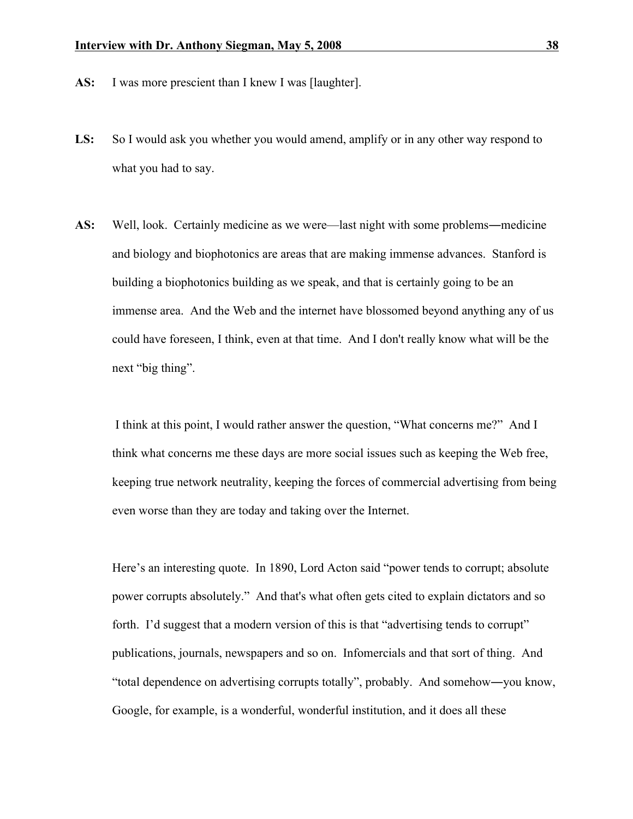- **AS:** I was more prescient than I knew I was [laughter].
- **LS:** So I would ask you whether you would amend, amplify or in any other way respond to what you had to say.
- **AS:** Well, look. Certainly medicine as we were—last night with some problems―medicine and biology and biophotonics are areas that are making immense advances. Stanford is building a biophotonics building as we speak, and that is certainly going to be an immense area. And the Web and the internet have blossomed beyond anything any of us could have foreseen, I think, even at that time. And I don't really know what will be the next "big thing".

I think at this point, I would rather answer the question, "What concerns me?" And I think what concerns me these days are more social issues such as keeping the Web free, keeping true network neutrality, keeping the forces of commercial advertising from being even worse than they are today and taking over the Internet.

Here's an interesting quote. In 1890, Lord Acton said "power tends to corrupt; absolute power corrupts absolutely." And that's what often gets cited to explain dictators and so forth. I'd suggest that a modern version of this is that "advertising tends to corrupt" publications, journals, newspapers and so on. Infomercials and that sort of thing. And "total dependence on advertising corrupts totally", probably. And somehow―you know, Google, for example, is a wonderful, wonderful institution, and it does all these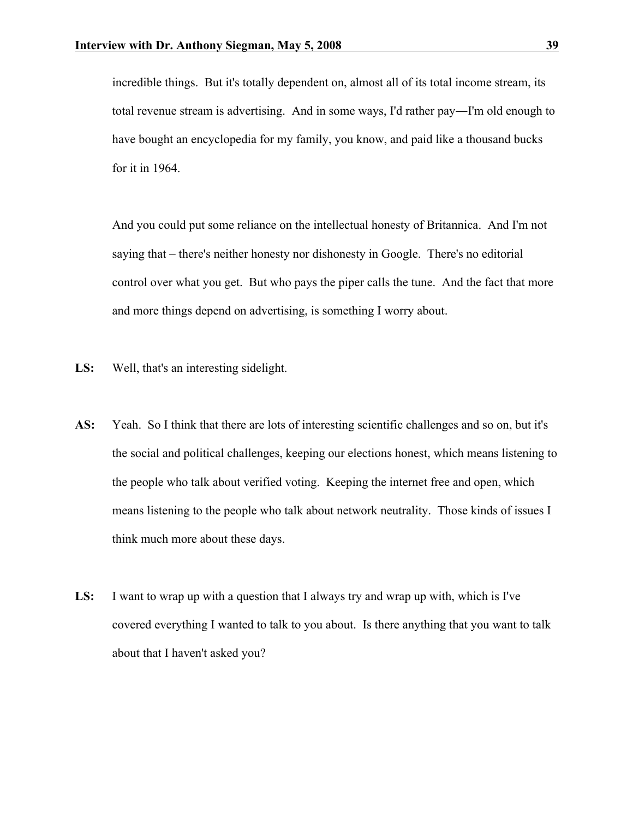incredible things. But it's totally dependent on, almost all of its total income stream, its total revenue stream is advertising. And in some ways, I'd rather pay―I'm old enough to have bought an encyclopedia for my family, you know, and paid like a thousand bucks for it in 1964.

And you could put some reliance on the intellectual honesty of Britannica. And I'm not saying that – there's neither honesty nor dishonesty in Google. There's no editorial control over what you get. But who pays the piper calls the tune. And the fact that more and more things depend on advertising, is something I worry about.

- **LS:** Well, that's an interesting sidelight.
- **AS:** Yeah. So I think that there are lots of interesting scientific challenges and so on, but it's the social and political challenges, keeping our elections honest, which means listening to the people who talk about verified voting. Keeping the internet free and open, which means listening to the people who talk about network neutrality. Those kinds of issues I think much more about these days.
- **LS:** I want to wrap up with a question that I always try and wrap up with, which is I've covered everything I wanted to talk to you about. Is there anything that you want to talk about that I haven't asked you?